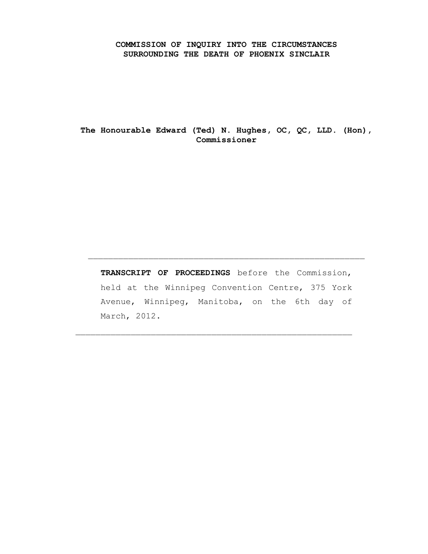#### **COMMISSION OF INQUIRY INTO THE CIRCUMSTANCES SURROUNDING THE DEATH OF PHOENIX SINCLAIR**

**The Honourable Edward (Ted) N. Hughes, OC, QC, LLD. (Hon), Commissioner**

**TRANSCRIPT OF PROCEEDINGS** before the Commission, held at the Winnipeg Convention Centre, 375 York Avenue, Winnipeg, Manitoba, on the 6th day of March, 2012.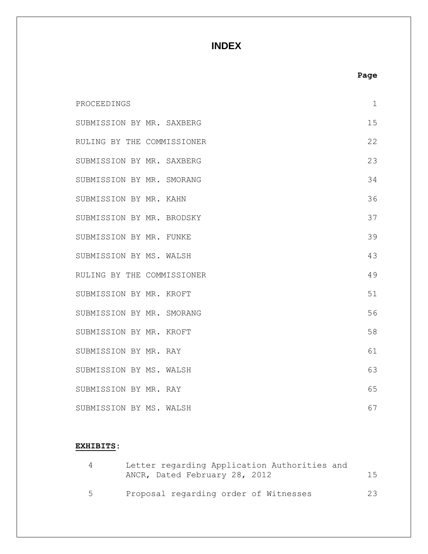# **INDEX**

|                            |  | Page        |
|----------------------------|--|-------------|
| PROCEEDINGS                |  | $\mathbf 1$ |
| SUBMISSION BY MR. SAXBERG  |  | 15          |
| RULING BY THE COMMISSIONER |  | 22          |
| SUBMISSION BY MR. SAXBERG  |  | 23          |
| SUBMISSION BY MR. SMORANG  |  | 34          |
| SUBMISSION BY MR. KAHN     |  | 36          |
| SUBMISSION BY MR. BRODSKY  |  | 37          |
| SUBMISSION BY MR. FUNKE    |  | 39          |
| SUBMISSION BY MS. WALSH    |  | 43          |
| RULING BY THE COMMISSIONER |  | 49          |
| SUBMISSION BY MR. KROFT    |  | 51          |
| SUBMISSION BY MR. SMORANG  |  | 56          |
| SUBMISSION BY MR. KROFT    |  | 58          |
| SUBMISSION BY MR. RAY      |  | 61          |
| SUBMISSION BY MS. WALSH    |  | 63          |
| SUBMISSION BY MR. RAY      |  | 65          |
| SUBMISSION BY MS. WALSH    |  | 67          |

### **EXHIBITS:**

|    | Letter regarding Application Authorities and |     |
|----|----------------------------------------------|-----|
|    | ANCR, Dated February 28, 2012                | 1.5 |
|    |                                              |     |
| -5 | Proposal regarding order of Witnesses        | 23  |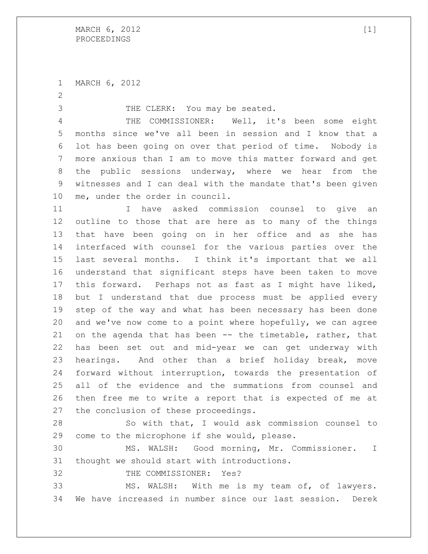MARCH 6, 2012

THE CLERK: You may be seated.

 THE COMMISSIONER: Well, it's been some eight months since we've all been in session and I know that a lot has been going on over that period of time. Nobody is more anxious than I am to move this matter forward and get the public sessions underway, where we hear from the witnesses and I can deal with the mandate that's been given me, under the order in council.

 I have asked commission counsel to give an outline to those that are here as to many of the things that have been going on in her office and as she has interfaced with counsel for the various parties over the last several months. I think it's important that we all understand that significant steps have been taken to move this forward. Perhaps not as fast as I might have liked, but I understand that due process must be applied every step of the way and what has been necessary has been done and we've now come to a point where hopefully, we can agree on the agenda that has been -- the timetable, rather, that has been set out and mid-year we can get underway with hearings. And other than a brief holiday break, move forward without interruption, towards the presentation of all of the evidence and the summations from counsel and then free me to write a report that is expected of me at the conclusion of these proceedings.

 So with that, I would ask commission counsel to come to the microphone if she would, please.

 MS. WALSH: Good morning, Mr. Commissioner. I thought we should start with introductions.

THE COMMISSIONER: Yes?

 MS. WALSH: With me is my team of, of lawyers. We have increased in number since our last session. Derek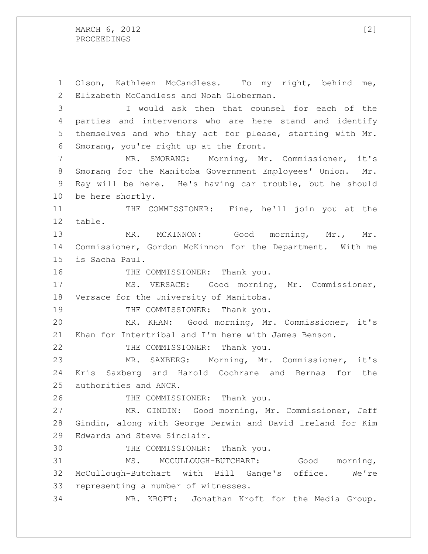MARCH  $6, 2012$  [2] PROCEEDINGS

 Olson, Kathleen McCandless. To my right, behind me, Elizabeth McCandless and Noah Globerman. I would ask then that counsel for each of the parties and intervenors who are here stand and identify themselves and who they act for please, starting with Mr. Smorang, you're right up at the front. MR. SMORANG: Morning, Mr. Commissioner, it's Smorang for the Manitoba Government Employees' Union. Mr. Ray will be here. He's having car trouble, but he should be here shortly. THE COMMISSIONER: Fine, he'll join you at the table. MR. MCKINNON: Good morning, Mr., Mr. Commissioner, Gordon McKinnon for the Department. With me is Sacha Paul. 16 THE COMMISSIONER: Thank you. MS. VERSACE: Good morning, Mr. Commissioner, Versace for the University of Manitoba. 19 THE COMMISSIONER: Thank you. MR. KHAN: Good morning, Mr. Commissioner, it's Khan for Intertribal and I'm here with James Benson. 22 THE COMMISSIONER: Thank you. MR. SAXBERG: Morning, Mr. Commissioner, it's Kris Saxberg and Harold Cochrane and Bernas for the authorities and ANCR. 26 THE COMMISSIONER: Thank you. MR. GINDIN: Good morning, Mr. Commissioner, Jeff Gindin, along with George Derwin and David Ireland for Kim Edwards and Steve Sinclair. THE COMMISSIONER: Thank you. MS. MCCULLOUGH-BUTCHART: Good morning, McCullough-Butchart with Bill Gange's office. We're representing a number of witnesses. MR. KROFT: Jonathan Kroft for the Media Group.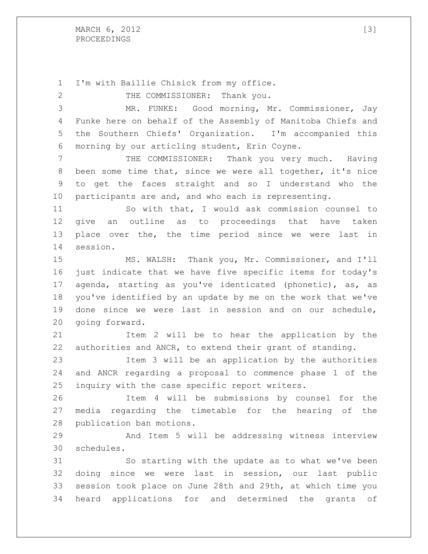MARCH , 2012 [3] PROCEEDINGS

 I'm with Baillie Chisick from my office. 2 THE COMMISSIONER: Thank you. MR. FUNKE: Good morning, Mr. Commissioner, Jay Funke here on behalf of the Assembly of Manitoba Chiefs and the Southern Chiefs' Organization. I'm accompanied this morning by our articling student, Erin Coyne. THE COMMISSIONER: Thank you very much. Having been some time that, since we were all together, it's nice to get the faces straight and so I understand who the participants are and, and who each is representing. So with that, I would ask commission counsel to give an outline as to proceedings that have taken place over the, the time period since we were last in session. MS. WALSH: Thank you, Mr. Commissioner, and I'll just indicate that we have five specific items for today's agenda, starting as you've identicated (phonetic), as, as you've identified by an update by me on the work that we've done since we were last in session and on our schedule, going forward. Item 2 will be to hear the application by the authorities and ANCR, to extend their grant of standing. Item 3 will be an application by the authorities and ANCR regarding a proposal to commence phase 1 of the inquiry with the case specific report writers. Item 4 will be submissions by counsel for the media regarding the timetable for the hearing of the publication ban motions. And Item 5 will be addressing witness interview schedules. So starting with the update as to what we've been doing since we were last in session, our last public session took place on June 28th and 29th, at which time you heard applications for and determined the grants of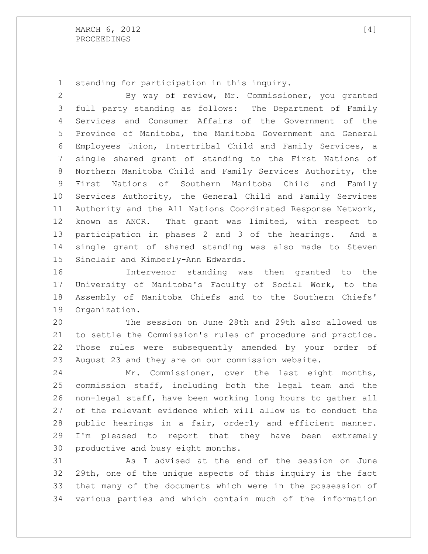standing for participation in this inquiry.

 By way of review, Mr. Commissioner, you granted full party standing as follows: The Department of Family Services and Consumer Affairs of the Government of the Province of Manitoba, the Manitoba Government and General Employees Union, Intertribal Child and Family Services, a single shared grant of standing to the First Nations of Northern Manitoba Child and Family Services Authority, the First Nations of Southern Manitoba Child and Family Services Authority, the General Child and Family Services Authority and the All Nations Coordinated Response Network, known as ANCR. That grant was limited, with respect to participation in phases 2 and 3 of the hearings. And a single grant of shared standing was also made to Steven Sinclair and Kimberly-Ann Edwards.

 Intervenor standing was then granted to the University of Manitoba's Faculty of Social Work, to the Assembly of Manitoba Chiefs and to the Southern Chiefs' Organization.

 The session on June 28th and 29th also allowed us to settle the Commission's rules of procedure and practice. Those rules were subsequently amended by your order of August 23 and they are on our commission website.

 Mr. Commissioner, over the last eight months, commission staff, including both the legal team and the non-legal staff, have been working long hours to gather all of the relevant evidence which will allow us to conduct the public hearings in a fair, orderly and efficient manner. I'm pleased to report that they have been extremely productive and busy eight months.

 As I advised at the end of the session on June 29th, one of the unique aspects of this inquiry is the fact that many of the documents which were in the possession of various parties and which contain much of the information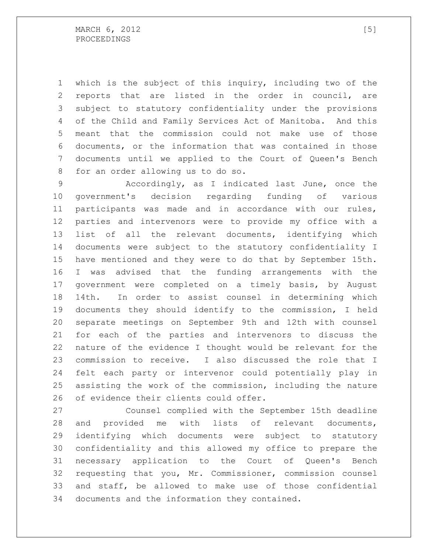which is the subject of this inquiry, including two of the reports that are listed in the order in council, are subject to statutory confidentiality under the provisions of the Child and Family Services Act of Manitoba. And this meant that the commission could not make use of those documents, or the information that was contained in those documents until we applied to the Court of Queen's Bench for an order allowing us to do so.

 Accordingly, as I indicated last June, once the government's decision regarding funding of various participants was made and in accordance with our rules, parties and intervenors were to provide my office with a list of all the relevant documents, identifying which documents were subject to the statutory confidentiality I have mentioned and they were to do that by September 15th. I was advised that the funding arrangements with the government were completed on a timely basis, by August 14th. In order to assist counsel in determining which documents they should identify to the commission, I held separate meetings on September 9th and 12th with counsel for each of the parties and intervenors to discuss the nature of the evidence I thought would be relevant for the commission to receive. I also discussed the role that I felt each party or intervenor could potentially play in assisting the work of the commission, including the nature of evidence their clients could offer.

 Counsel complied with the September 15th deadline and provided me with lists of relevant documents, identifying which documents were subject to statutory confidentiality and this allowed my office to prepare the necessary application to the Court of Queen's Bench requesting that you, Mr. Commissioner, commission counsel and staff, be allowed to make use of those confidential documents and the information they contained.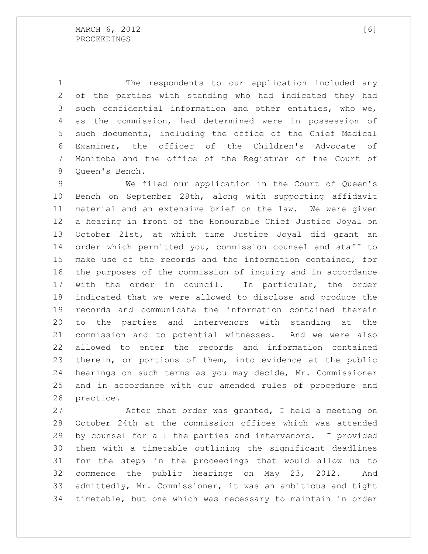The respondents to our application included any of the parties with standing who had indicated they had such confidential information and other entities, who we, as the commission, had determined were in possession of such documents, including the office of the Chief Medical Examiner, the officer of the Children's Advocate of Manitoba and the office of the Registrar of the Court of Queen's Bench.

 We filed our application in the Court of Queen's Bench on September 28th, along with supporting affidavit material and an extensive brief on the law. We were given a hearing in front of the Honourable Chief Justice Joyal on October 21st, at which time Justice Joyal did grant an order which permitted you, commission counsel and staff to make use of the records and the information contained, for the purposes of the commission of inquiry and in accordance with the order in council. In particular, the order indicated that we were allowed to disclose and produce the records and communicate the information contained therein to the parties and intervenors with standing at the commission and to potential witnesses. And we were also allowed to enter the records and information contained therein, or portions of them, into evidence at the public hearings on such terms as you may decide, Mr. Commissioner and in accordance with our amended rules of procedure and practice.

 After that order was granted, I held a meeting on October 24th at the commission offices which was attended by counsel for all the parties and intervenors. I provided them with a timetable outlining the significant deadlines for the steps in the proceedings that would allow us to commence the public hearings on May 23, 2012. And admittedly, Mr. Commissioner, it was an ambitious and tight timetable, but one which was necessary to maintain in order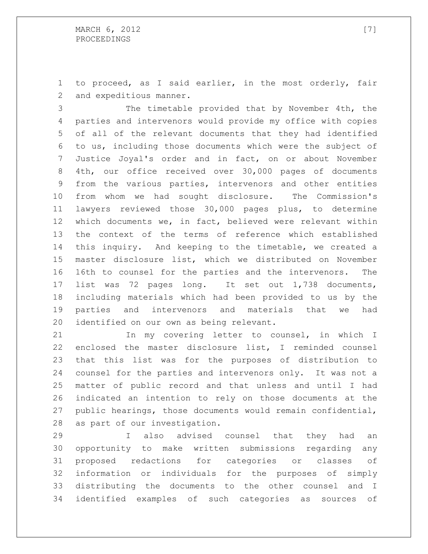to proceed, as I said earlier, in the most orderly, fair and expeditious manner.

 The timetable provided that by November 4th, the parties and intervenors would provide my office with copies of all of the relevant documents that they had identified to us, including those documents which were the subject of Justice Joyal's order and in fact, on or about November 4th, our office received over 30,000 pages of documents from the various parties, intervenors and other entities from whom we had sought disclosure. The Commission's lawyers reviewed those 30,000 pages plus, to determine which documents we, in fact, believed were relevant within the context of the terms of reference which established this inquiry. And keeping to the timetable, we created a master disclosure list, which we distributed on November 16th to counsel for the parties and the intervenors. The list was 72 pages long. It set out 1,738 documents, including materials which had been provided to us by the parties and intervenors and materials that we had identified on our own as being relevant.

 In my covering letter to counsel, in which I enclosed the master disclosure list, I reminded counsel that this list was for the purposes of distribution to counsel for the parties and intervenors only. It was not a matter of public record and that unless and until I had indicated an intention to rely on those documents at the public hearings, those documents would remain confidential, as part of our investigation.

 I also advised counsel that they had an opportunity to make written submissions regarding any proposed redactions for categories or classes of information or individuals for the purposes of simply distributing the documents to the other counsel and I identified examples of such categories as sources of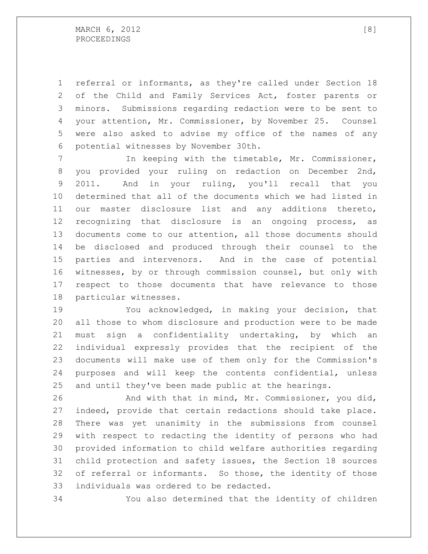referral or informants, as they're called under Section 18 of the Child and Family Services Act, foster parents or minors. Submissions regarding redaction were to be sent to your attention, Mr. Commissioner, by November 25. Counsel were also asked to advise my office of the names of any potential witnesses by November 30th.

 In keeping with the timetable, Mr. Commissioner, you provided your ruling on redaction on December 2nd, 2011. And in your ruling, you'll recall that you determined that all of the documents which we had listed in our master disclosure list and any additions thereto, recognizing that disclosure is an ongoing process, as documents come to our attention, all those documents should be disclosed and produced through their counsel to the parties and intervenors. And in the case of potential witnesses, by or through commission counsel, but only with respect to those documents that have relevance to those particular witnesses.

 You acknowledged, in making your decision, that all those to whom disclosure and production were to be made must sign a confidentiality undertaking, by which an individual expressly provides that the recipient of the documents will make use of them only for the Commission's purposes and will keep the contents confidential, unless and until they've been made public at the hearings.

 And with that in mind, Mr. Commissioner, you did, indeed, provide that certain redactions should take place. There was yet unanimity in the submissions from counsel with respect to redacting the identity of persons who had provided information to child welfare authorities regarding child protection and safety issues, the Section 18 sources of referral or informants. So those, the identity of those individuals was ordered to be redacted.

You also determined that the identity of children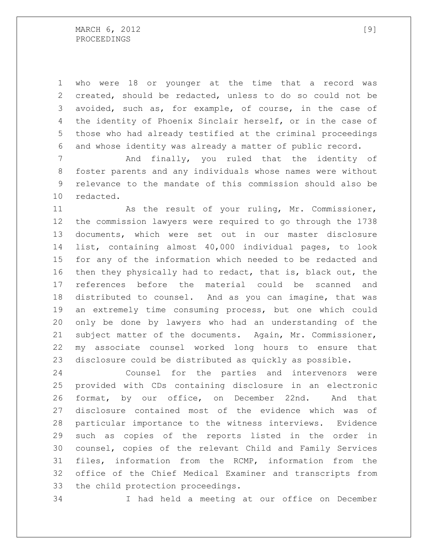who were 18 or younger at the time that a record was created, should be redacted, unless to do so could not be avoided, such as, for example, of course, in the case of the identity of Phoenix Sinclair herself, or in the case of those who had already testified at the criminal proceedings and whose identity was already a matter of public record.

 And finally, you ruled that the identity of foster parents and any individuals whose names were without relevance to the mandate of this commission should also be redacted.

 As the result of your ruling, Mr. Commissioner, the commission lawyers were required to go through the 1738 documents, which were set out in our master disclosure list, containing almost 40,000 individual pages, to look for any of the information which needed to be redacted and then they physically had to redact, that is, black out, the references before the material could be scanned and distributed to counsel. And as you can imagine, that was an extremely time consuming process, but one which could only be done by lawyers who had an understanding of the subject matter of the documents. Again, Mr. Commissioner, my associate counsel worked long hours to ensure that disclosure could be distributed as quickly as possible.

 Counsel for the parties and intervenors were provided with CDs containing disclosure in an electronic format, by our office, on December 22nd. And that disclosure contained most of the evidence which was of particular importance to the witness interviews. Evidence such as copies of the reports listed in the order in counsel, copies of the relevant Child and Family Services files, information from the RCMP, information from the office of the Chief Medical Examiner and transcripts from the child protection proceedings.

I had held a meeting at our office on December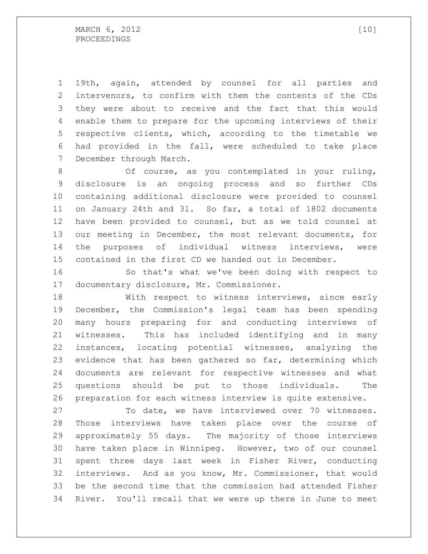19th, again, attended by counsel for all parties and intervenors, to confirm with them the contents of the CDs they were about to receive and the fact that this would enable them to prepare for the upcoming interviews of their respective clients, which, according to the timetable we had provided in the fall, were scheduled to take place December through March.

 Of course, as you contemplated in your ruling, disclosure is an ongoing process and so further CDs containing additional disclosure were provided to counsel on January 24th and 31. So far, a total of 1802 documents have been provided to counsel, but as we told counsel at our meeting in December, the most relevant documents, for the purposes of individual witness interviews, were contained in the first CD we handed out in December.

 So that's what we've been doing with respect to documentary disclosure, Mr. Commissioner.

 With respect to witness interviews, since early December, the Commission's legal team has been spending many hours preparing for and conducting interviews of witnesses. This has included identifying and in many instances, locating potential witnesses, analyzing the evidence that has been gathered so far, determining which documents are relevant for respective witnesses and what questions should be put to those individuals. The preparation for each witness interview is quite extensive.

 To date, we have interviewed over 70 witnesses. Those interviews have taken place over the course of approximately 55 days. The majority of those interviews have taken place in Winnipeg. However, two of our counsel spent three days last week in Fisher River, conducting interviews. And as you know, Mr. Commissioner, that would be the second time that the commission had attended Fisher River. You'll recall that we were up there in June to meet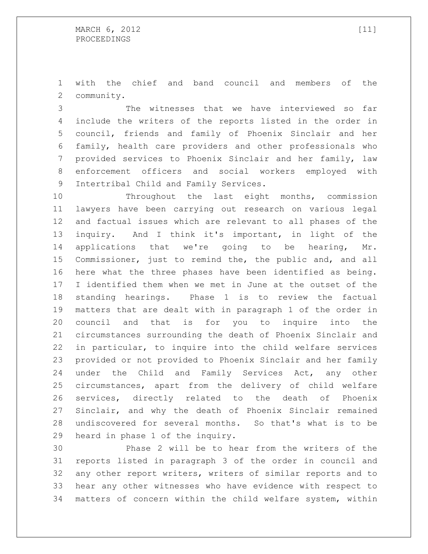with the chief and band council and members of the community.

 The witnesses that we have interviewed so far include the writers of the reports listed in the order in council, friends and family of Phoenix Sinclair and her family, health care providers and other professionals who provided services to Phoenix Sinclair and her family, law enforcement officers and social workers employed with Intertribal Child and Family Services.

 Throughout the last eight months, commission lawyers have been carrying out research on various legal and factual issues which are relevant to all phases of the inquiry. And I think it's important, in light of the applications that we're going to be hearing, Mr. Commissioner, just to remind the, the public and, and all here what the three phases have been identified as being. I identified them when we met in June at the outset of the standing hearings. Phase 1 is to review the factual matters that are dealt with in paragraph 1 of the order in council and that is for you to inquire into the circumstances surrounding the death of Phoenix Sinclair and in particular, to inquire into the child welfare services provided or not provided to Phoenix Sinclair and her family under the Child and Family Services Act, any other circumstances, apart from the delivery of child welfare services, directly related to the death of Phoenix Sinclair, and why the death of Phoenix Sinclair remained undiscovered for several months. So that's what is to be heard in phase 1 of the inquiry.

 Phase 2 will be to hear from the writers of the reports listed in paragraph 3 of the order in council and any other report writers, writers of similar reports and to hear any other witnesses who have evidence with respect to matters of concern within the child welfare system, within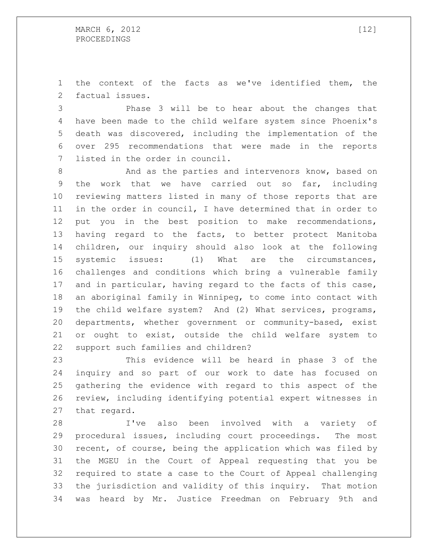the context of the facts as we've identified them, the factual issues.

 Phase 3 will be to hear about the changes that have been made to the child welfare system since Phoenix's death was discovered, including the implementation of the over 295 recommendations that were made in the reports listed in the order in council.

8 And as the parties and intervenors know, based on the work that we have carried out so far, including reviewing matters listed in many of those reports that are in the order in council, I have determined that in order to put you in the best position to make recommendations, having regard to the facts, to better protect Manitoba children, our inquiry should also look at the following systemic issues: (1) What are the circumstances, challenges and conditions which bring a vulnerable family and in particular, having regard to the facts of this case, an aboriginal family in Winnipeg, to come into contact with the child welfare system? And (2) What services, programs, departments, whether government or community-based, exist or ought to exist, outside the child welfare system to support such families and children?

 This evidence will be heard in phase 3 of the inquiry and so part of our work to date has focused on gathering the evidence with regard to this aspect of the review, including identifying potential expert witnesses in that regard.

 I've also been involved with a variety of procedural issues, including court proceedings. The most recent, of course, being the application which was filed by the MGEU in the Court of Appeal requesting that you be required to state a case to the Court of Appeal challenging the jurisdiction and validity of this inquiry. That motion was heard by Mr. Justice Freedman on February 9th and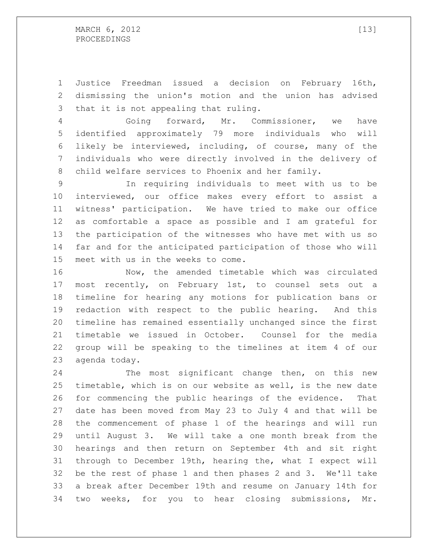Justice Freedman issued a decision on February 16th, dismissing the union's motion and the union has advised that it is not appealing that ruling.

 Going forward, Mr. Commissioner, we have identified approximately 79 more individuals who will likely be interviewed, including, of course, many of the individuals who were directly involved in the delivery of child welfare services to Phoenix and her family.

 In requiring individuals to meet with us to be interviewed, our office makes every effort to assist a witness' participation. We have tried to make our office as comfortable a space as possible and I am grateful for the participation of the witnesses who have met with us so far and for the anticipated participation of those who will meet with us in the weeks to come.

 Now, the amended timetable which was circulated most recently, on February 1st, to counsel sets out a timeline for hearing any motions for publication bans or redaction with respect to the public hearing. And this timeline has remained essentially unchanged since the first timetable we issued in October. Counsel for the media group will be speaking to the timelines at item 4 of our agenda today.

 The most significant change then, on this new timetable, which is on our website as well, is the new date for commencing the public hearings of the evidence. That date has been moved from May 23 to July 4 and that will be the commencement of phase 1 of the hearings and will run until August 3. We will take a one month break from the hearings and then return on September 4th and sit right through to December 19th, hearing the, what I expect will be the rest of phase 1 and then phases 2 and 3. We'll take a break after December 19th and resume on January 14th for two weeks, for you to hear closing submissions, Mr.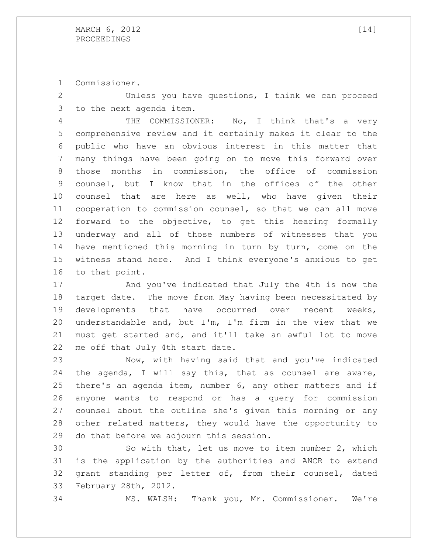Commissioner.

 Unless you have questions, I think we can proceed to the next agenda item.

4 THE COMMISSIONER: No, I think that's a very comprehensive review and it certainly makes it clear to the public who have an obvious interest in this matter that many things have been going on to move this forward over those months in commission, the office of commission counsel, but I know that in the offices of the other counsel that are here as well, who have given their cooperation to commission counsel, so that we can all move forward to the objective, to get this hearing formally underway and all of those numbers of witnesses that you have mentioned this morning in turn by turn, come on the witness stand here. And I think everyone's anxious to get to that point.

 And you've indicated that July the 4th is now the target date. The move from May having been necessitated by developments that have occurred over recent weeks, understandable and, but I'm, I'm firm in the view that we must get started and, and it'll take an awful lot to move me off that July 4th start date.

 Now, with having said that and you've indicated the agenda, I will say this, that as counsel are aware, there's an agenda item, number 6, any other matters and if anyone wants to respond or has a query for commission counsel about the outline she's given this morning or any other related matters, they would have the opportunity to do that before we adjourn this session.

 So with that, let us move to item number 2, which is the application by the authorities and ANCR to extend grant standing per letter of, from their counsel, dated February 28th, 2012.

MS. WALSH: Thank you, Mr. Commissioner. We're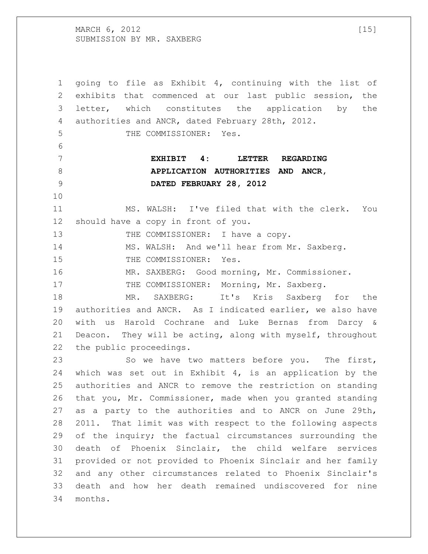MARCH  $6, 2012$  [15] SUBMISSION BY MR. SAXBERG

 going to file as Exhibit 4, continuing with the list of exhibits that commenced at our last public session, the letter, which constitutes the application by the authorities and ANCR, dated February 28th, 2012. THE COMMISSIONER: Yes. **EXHIBIT 4: LETTER REGARDING APPLICATION AUTHORITIES AND ANCR, DATED FEBRUARY 28, 2012** MS. WALSH: I've filed that with the clerk. You should have a copy in front of you. 13 THE COMMISSIONER: I have a copy. MS. WALSH: And we'll hear from Mr. Saxberg. THE COMMISSIONER: Yes. MR. SAXBERG: Good morning, Mr. Commissioner. 17 THE COMMISSIONER: Morning, Mr. Saxberg. MR. SAXBERG: It's Kris Saxberg for the authorities and ANCR. As I indicated earlier, we also have with us Harold Cochrane and Luke Bernas from Darcy & Deacon. They will be acting, along with myself, throughout the public proceedings. So we have two matters before you. The first, which was set out in Exhibit 4, is an application by the authorities and ANCR to remove the restriction on standing that you, Mr. Commissioner, made when you granted standing as a party to the authorities and to ANCR on June 29th, 2011. That limit was with respect to the following aspects 29 of the inquiry; the factual circumstances surrounding the death of Phoenix Sinclair, the child welfare services provided or not provided to Phoenix Sinclair and her family and any other circumstances related to Phoenix Sinclair's death and how her death remained undiscovered for nine months.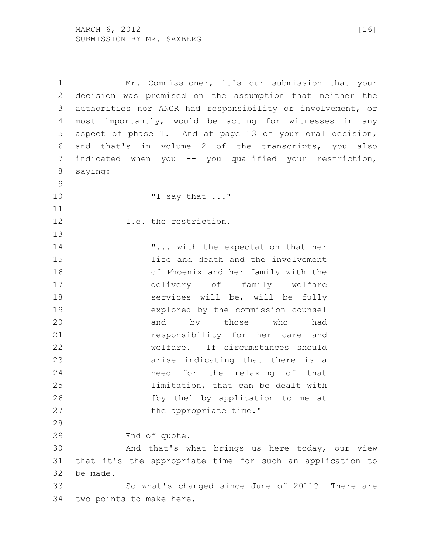MARCH , 2012 [16] SUBMISSION BY MR. SAXBERG

 Mr. Commissioner, it's our submission that your decision was premised on the assumption that neither the authorities nor ANCR had responsibility or involvement, or most importantly, would be acting for witnesses in any aspect of phase 1. And at page 13 of your oral decision, and that's in volume 2 of the transcripts, you also 7 indicated when you -- you qualified your restriction, saying: "I say that ..." **I.e.** the restriction. 14 T... with the expectation that her life and death and the involvement of Phoenix and her family with the delivery of family welfare services will be, will be fully explored by the commission counsel 20 and by those who had responsibility for her care and welfare. If circumstances should arise indicating that there is a need for the relaxing of that limitation, that can be dealt with [by the] by application to me at 27 the appropriate time." End of quote. And that's what brings us here today, our view that it's the appropriate time for such an application to be made. So what's changed since June of 2011? There are two points to make here.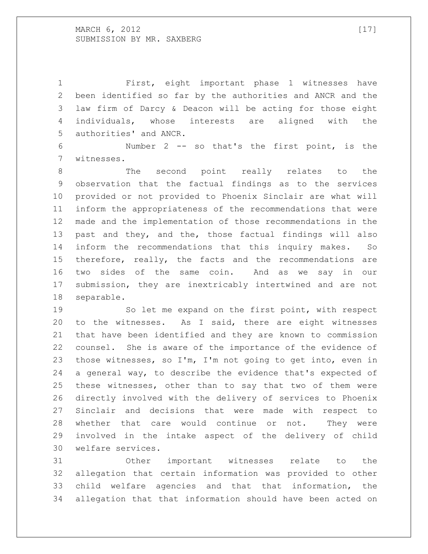MARCH  $6$ , 2012 [17] SUBMISSION BY MR. SAXBERG

 First, eight important phase 1 witnesses have been identified so far by the authorities and ANCR and the law firm of Darcy & Deacon will be acting for those eight individuals, whose interests are aligned with the authorities' and ANCR.

 Number 2 -- so that's the first point, is the witnesses.

 The second point really relates to the observation that the factual findings as to the services provided or not provided to Phoenix Sinclair are what will inform the appropriateness of the recommendations that were made and the implementation of those recommendations in the past and they, and the, those factual findings will also inform the recommendations that this inquiry makes. So therefore, really, the facts and the recommendations are two sides of the same coin. And as we say in our submission, they are inextricably intertwined and are not separable.

 So let me expand on the first point, with respect to the witnesses. As I said, there are eight witnesses that have been identified and they are known to commission counsel. She is aware of the importance of the evidence of those witnesses, so I'm, I'm not going to get into, even in a general way, to describe the evidence that's expected of these witnesses, other than to say that two of them were directly involved with the delivery of services to Phoenix Sinclair and decisions that were made with respect to whether that care would continue or not. They were involved in the intake aspect of the delivery of child welfare services.

 Other important witnesses relate to the allegation that certain information was provided to other child welfare agencies and that that information, the allegation that that information should have been acted on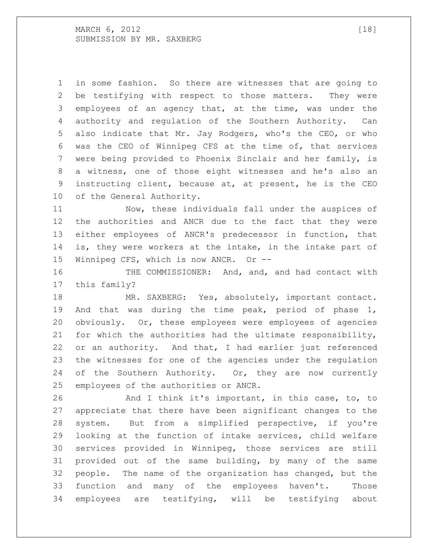MARCH , 2012 [18] SUBMISSION BY MR. SAXBERG

 in some fashion. So there are witnesses that are going to be testifying with respect to those matters. They were employees of an agency that, at the time, was under the authority and regulation of the Southern Authority. Can also indicate that Mr. Jay Rodgers, who's the CEO, or who was the CEO of Winnipeg CFS at the time of, that services were being provided to Phoenix Sinclair and her family, is a witness, one of those eight witnesses and he's also an instructing client, because at, at present, he is the CEO of the General Authority.

 Now, these individuals fall under the auspices of the authorities and ANCR due to the fact that they were either employees of ANCR's predecessor in function, that is, they were workers at the intake, in the intake part of Winnipeg CFS, which is now ANCR. Or --

16 THE COMMISSIONER: And, and, and had contact with this family?

18 MR. SAXBERG: Yes, absolutely, important contact. And that was during the time peak, period of phase 1, obviously. Or, these employees were employees of agencies for which the authorities had the ultimate responsibility, or an authority. And that, I had earlier just referenced the witnesses for one of the agencies under the regulation 24 of the Southern Authority. Or, they are now currently employees of the authorities or ANCR.

26 And I think it's important, in this case, to, to appreciate that there have been significant changes to the system. But from a simplified perspective, if you're looking at the function of intake services, child welfare services provided in Winnipeg, those services are still provided out of the same building, by many of the same people. The name of the organization has changed, but the function and many of the employees haven't. Those employees are testifying, will be testifying about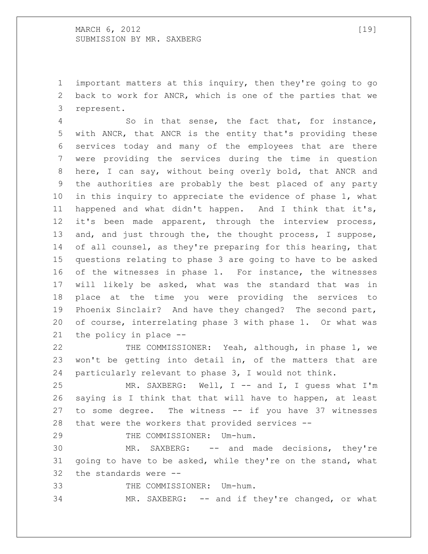important matters at this inquiry, then they're going to go back to work for ANCR, which is one of the parties that we represent.

 So in that sense, the fact that, for instance, with ANCR, that ANCR is the entity that's providing these services today and many of the employees that are there were providing the services during the time in question here, I can say, without being overly bold, that ANCR and the authorities are probably the best placed of any party in this inquiry to appreciate the evidence of phase 1, what happened and what didn't happen. And I think that it's, it's been made apparent, through the interview process, 13 and, and just through the, the thought process, I suppose, 14 of all counsel, as they're preparing for this hearing, that questions relating to phase 3 are going to have to be asked of the witnesses in phase 1. For instance, the witnesses will likely be asked, what was the standard that was in place at the time you were providing the services to Phoenix Sinclair? And have they changed? The second part, of course, interrelating phase 3 with phase 1. Or what was the policy in place --

22 THE COMMISSIONER: Yeah, although, in phase 1, we won't be getting into detail in, of the matters that are particularly relevant to phase 3, I would not think.

 MR. SAXBERG: Well, I -- and I, I guess what I'm saying is I think that that will have to happen, at least to some degree. The witness -- if you have 37 witnesses that were the workers that provided services --

29 THE COMMISSIONER: Um-hum.

 MR. SAXBERG: -- and made decisions, they're going to have to be asked, while they're on the stand, what the standards were --

THE COMMISSIONER: Um-hum.

MR. SAXBERG: -- and if they're changed, or what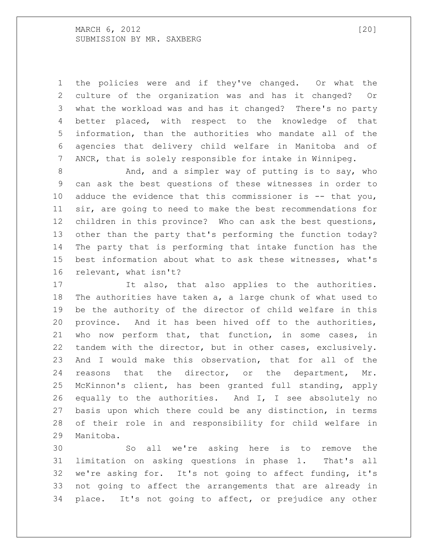MARCH , 2012 [20] SUBMISSION BY MR. SAXBERG

 the policies were and if they've changed. Or what the culture of the organization was and has it changed? Or what the workload was and has it changed? There's no party better placed, with respect to the knowledge of that information, than the authorities who mandate all of the agencies that delivery child welfare in Manitoba and of ANCR, that is solely responsible for intake in Winnipeg.

 And, and a simpler way of putting is to say, who can ask the best questions of these witnesses in order to 10 adduce the evidence that this commissioner is -- that you, sir, are going to need to make the best recommendations for children in this province? Who can ask the best questions, other than the party that's performing the function today? The party that is performing that intake function has the best information about what to ask these witnesses, what's relevant, what isn't?

 It also, that also applies to the authorities. The authorities have taken a, a large chunk of what used to be the authority of the director of child welfare in this province. And it has been hived off to the authorities, who now perform that, that function, in some cases, in tandem with the director, but in other cases, exclusively. And I would make this observation, that for all of the reasons that the director, or the department, Mr. McKinnon's client, has been granted full standing, apply equally to the authorities. And I, I see absolutely no basis upon which there could be any distinction, in terms of their role in and responsibility for child welfare in Manitoba.

 So all we're asking here is to remove the limitation on asking questions in phase 1. That's all we're asking for. It's not going to affect funding, it's not going to affect the arrangements that are already in place. It's not going to affect, or prejudice any other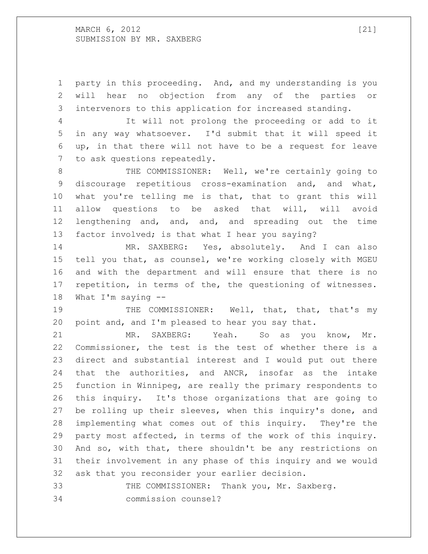MARCH 6, 2012 [21] SUBMISSION BY MR. SAXBERG

 party in this proceeding. And, and my understanding is you will hear no objection from any of the parties or intervenors to this application for increased standing.

 It will not prolong the proceeding or add to it in any way whatsoever. I'd submit that it will speed it up, in that there will not have to be a request for leave to ask questions repeatedly.

8 THE COMMISSIONER: Well, we're certainly going to discourage repetitious cross-examination and, and what, what you're telling me is that, that to grant this will allow questions to be asked that will, will avoid lengthening and, and, and, and spreading out the time 13 factor involved; is that what I hear you saying?

 MR. SAXBERG: Yes, absolutely. And I can also tell you that, as counsel, we're working closely with MGEU and with the department and will ensure that there is no 17 repetition, in terms of the, the questioning of witnesses. What I'm saying --

19 THE COMMISSIONER: Well, that, that, that's my point and, and I'm pleased to hear you say that.

 MR. SAXBERG: Yeah. So as you know, Mr. Commissioner, the test is the test of whether there is a direct and substantial interest and I would put out there that the authorities, and ANCR, insofar as the intake function in Winnipeg, are really the primary respondents to this inquiry. It's those organizations that are going to be rolling up their sleeves, when this inquiry's done, and implementing what comes out of this inquiry. They're the party most affected, in terms of the work of this inquiry. And so, with that, there shouldn't be any restrictions on their involvement in any phase of this inquiry and we would ask that you reconsider your earlier decision.

 THE COMMISSIONER: Thank you, Mr. Saxberg. commission counsel?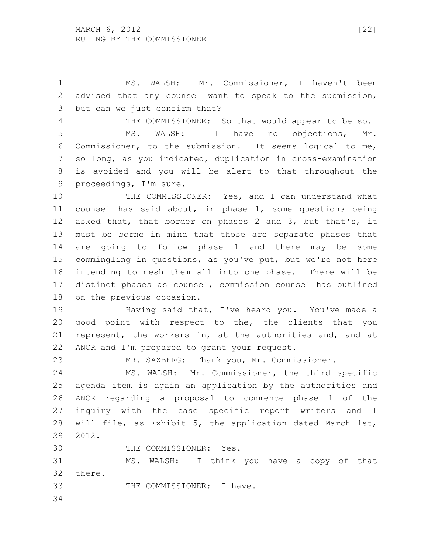MARCH 6, 2012 [22] RULING BY THE COMMISSIONER

 MS. WALSH: Mr. Commissioner, I haven't been advised that any counsel want to speak to the submission, but can we just confirm that?

 THE COMMISSIONER: So that would appear to be so. MS. WALSH: I have no objections, Mr. Commissioner, to the submission. It seems logical to me, so long, as you indicated, duplication in cross-examination is avoided and you will be alert to that throughout the proceedings, I'm sure.

10 THE COMMISSIONER: Yes, and I can understand what counsel has said about, in phase 1, some questions being asked that, that border on phases 2 and 3, but that's, it must be borne in mind that those are separate phases that are going to follow phase 1 and there may be some commingling in questions, as you've put, but we're not here intending to mesh them all into one phase. There will be distinct phases as counsel, commission counsel has outlined on the previous occasion.

 Having said that, I've heard you. You've made a good point with respect to the, the clients that you represent, the workers in, at the authorities and, and at ANCR and I'm prepared to grant your request.

MR. SAXBERG: Thank you, Mr. Commissioner.

 MS. WALSH: Mr. Commissioner, the third specific agenda item is again an application by the authorities and ANCR regarding a proposal to commence phase 1 of the inquiry with the case specific report writers and I will file, as Exhibit 5, the application dated March 1st, 2012.

THE COMMISSIONER: Yes.

 MS. WALSH: I think you have a copy of that there.

THE COMMISSIONER: I have.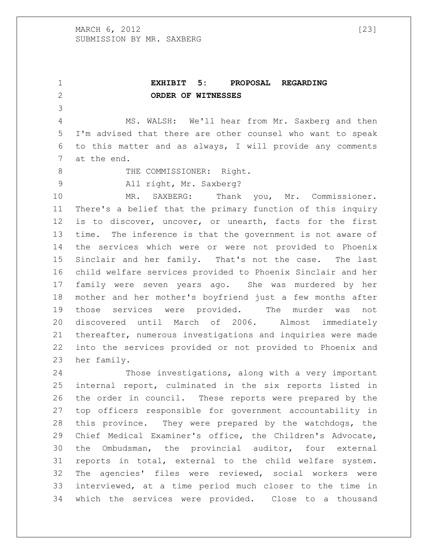**EXHIBIT 5: PROPOSAL REGARDING ORDER OF WITNESSES** MS. WALSH: We'll hear from Mr. Saxberg and then I'm advised that there are other counsel who want to speak to this matter and as always, I will provide any comments at the end. 8 THE COMMISSIONER: Right. All right, Mr. Saxberg? MR. SAXBERG: Thank you, Mr. Commissioner. There's a belief that the primary function of this inquiry is to discover, uncover, or unearth, facts for the first time. The inference is that the government is not aware of the services which were or were not provided to Phoenix Sinclair and her family. That's not the case. The last child welfare services provided to Phoenix Sinclair and her family were seven years ago. She was murdered by her mother and her mother's boyfriend just a few months after those services were provided. The murder was not discovered until March of 2006. Almost immediately thereafter, numerous investigations and inquiries were made into the services provided or not provided to Phoenix and her family.

 Those investigations, along with a very important internal report, culminated in the six reports listed in the order in council. These reports were prepared by the top officers responsible for government accountability in this province. They were prepared by the watchdogs, the Chief Medical Examiner's office, the Children's Advocate, the Ombudsman, the provincial auditor, four external reports in total, external to the child welfare system. The agencies' files were reviewed, social workers were interviewed, at a time period much closer to the time in which the services were provided. Close to a thousand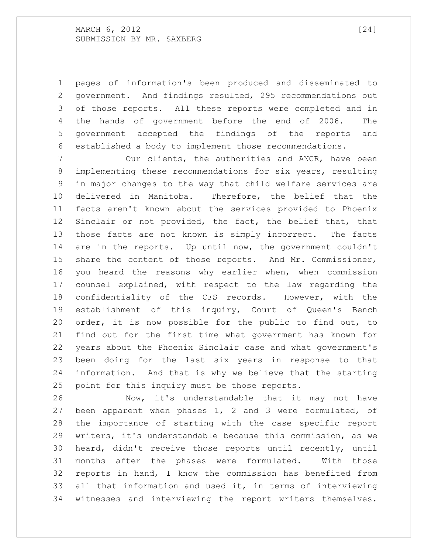pages of information's been produced and disseminated to government. And findings resulted, 295 recommendations out of those reports. All these reports were completed and in the hands of government before the end of 2006. The government accepted the findings of the reports and established a body to implement those recommendations.

7 001 Our clients, the authorities and ANCR, have been implementing these recommendations for six years, resulting in major changes to the way that child welfare services are delivered in Manitoba. Therefore, the belief that the facts aren't known about the services provided to Phoenix Sinclair or not provided, the fact, the belief that, that those facts are not known is simply incorrect. The facts are in the reports. Up until now, the government couldn't share the content of those reports. And Mr. Commissioner, you heard the reasons why earlier when, when commission counsel explained, with respect to the law regarding the confidentiality of the CFS records. However, with the establishment of this inquiry, Court of Queen's Bench order, it is now possible for the public to find out, to find out for the first time what government has known for years about the Phoenix Sinclair case and what government's been doing for the last six years in response to that information. And that is why we believe that the starting point for this inquiry must be those reports.

 Now, it's understandable that it may not have been apparent when phases 1, 2 and 3 were formulated, of the importance of starting with the case specific report writers, it's understandable because this commission, as we heard, didn't receive those reports until recently, until months after the phases were formulated. With those reports in hand, I know the commission has benefited from all that information and used it, in terms of interviewing witnesses and interviewing the report writers themselves.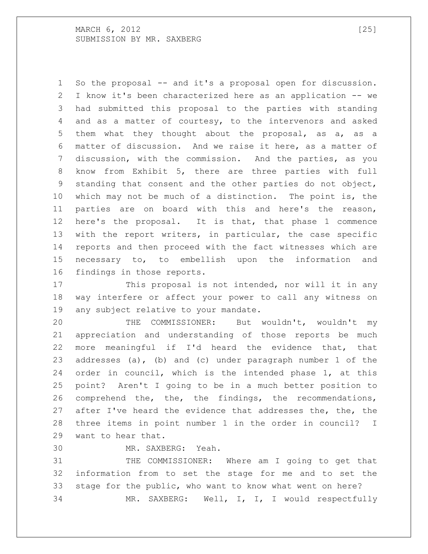MARCH , 2012 [25] SUBMISSION BY MR. SAXBERG

 So the proposal -- and it's a proposal open for discussion. I know it's been characterized here as an application -- we had submitted this proposal to the parties with standing and as a matter of courtesy, to the intervenors and asked them what they thought about the proposal, as a, as a matter of discussion. And we raise it here, as a matter of discussion, with the commission. And the parties, as you know from Exhibit 5, there are three parties with full standing that consent and the other parties do not object, which may not be much of a distinction. The point is, the parties are on board with this and here's the reason, here's the proposal. It is that, that phase 1 commence with the report writers, in particular, the case specific reports and then proceed with the fact witnesses which are necessary to, to embellish upon the information and findings in those reports.

17 This proposal is not intended, nor will it in any way interfere or affect your power to call any witness on any subject relative to your mandate.

 THE COMMISSIONER: But wouldn't, wouldn't my appreciation and understanding of those reports be much more meaningful if I'd heard the evidence that, that addresses (a), (b) and (c) under paragraph number 1 of the order in council, which is the intended phase 1, at this point? Aren't I going to be in a much better position to comprehend the, the, the findings, the recommendations, after I've heard the evidence that addresses the, the, the three items in point number 1 in the order in council? I want to hear that.

MR. SAXBERG: Yeah.

 THE COMMISSIONER: Where am I going to get that information from to set the stage for me and to set the stage for the public, who want to know what went on here? MR. SAXBERG: Well, I, I, I would respectfully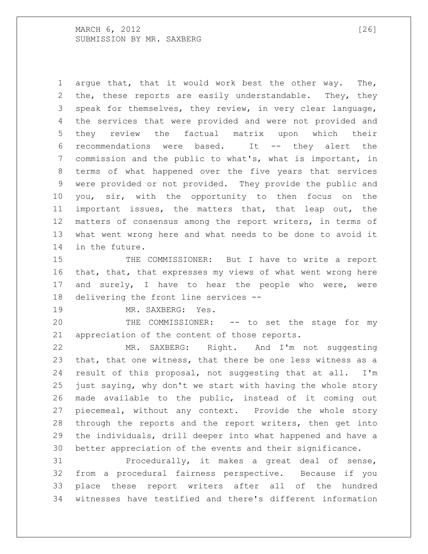MARCH , 2012 [26] SUBMISSION BY MR. SAXBERG

 argue that, that it would work best the other way. The, the, these reports are easily understandable. They, they speak for themselves, they review, in very clear language, the services that were provided and were not provided and they review the factual matrix upon which their recommendations were based. It -- they alert the commission and the public to what's, what is important, in terms of what happened over the five years that services were provided or not provided. They provide the public and you, sir, with the opportunity to then focus on the important issues, the matters that, that leap out, the matters of consensus among the report writers, in terms of what went wrong here and what needs to be done to avoid it in the future.

15 THE COMMISSIONER: But I have to write a report that, that, that expresses my views of what went wrong here 17 and surely, I have to hear the people who were, were delivering the front line services --

MR. SAXBERG: Yes.

 THE COMMISSIONER: -- to set the stage for my appreciation of the content of those reports.

 MR. SAXBERG: Right. And I'm not suggesting that, that one witness, that there be one less witness as a result of this proposal, not suggesting that at all. I'm just saying, why don't we start with having the whole story made available to the public, instead of it coming out piecemeal, without any context. Provide the whole story through the reports and the report writers, then get into the individuals, drill deeper into what happened and have a better appreciation of the events and their significance.

 Procedurally, it makes a great deal of sense, from a procedural fairness perspective. Because if you place these report writers after all of the hundred witnesses have testified and there's different information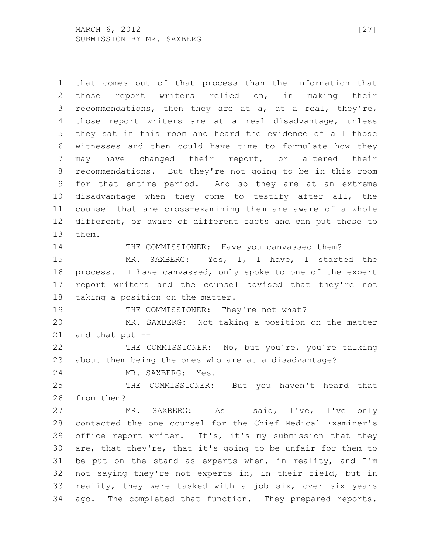MARCH 6, 2012 [27] SUBMISSION BY MR. SAXBERG

 that comes out of that process than the information that those report writers relied on, in making their recommendations, then they are at a, at a real, they're, those report writers are at a real disadvantage, unless they sat in this room and heard the evidence of all those witnesses and then could have time to formulate how they may have changed their report, or altered their recommendations. But they're not going to be in this room for that entire period. And so they are at an extreme disadvantage when they come to testify after all, the counsel that are cross-examining them are aware of a whole different, or aware of different facts and can put those to them. 14 THE COMMISSIONER: Have you canvassed them? MR. SAXBERG: Yes, I, I have, I started the

 process. I have canvassed, only spoke to one of the expert report writers and the counsel advised that they're not taking a position on the matter.

19 THE COMMISSIONER: They're not what?

 MR. SAXBERG: Not taking a position on the matter and that put --

22 THE COMMISSIONER: No, but you're, you're talking about them being the ones who are at a disadvantage?

MR. SAXBERG: Yes.

 THE COMMISSIONER: But you haven't heard that from them?

 MR. SAXBERG: As I said, I've, I've only contacted the one counsel for the Chief Medical Examiner's office report writer. It's, it's my submission that they are, that they're, that it's going to be unfair for them to be put on the stand as experts when, in reality, and I'm not saying they're not experts in, in their field, but in reality, they were tasked with a job six, over six years ago. The completed that function. They prepared reports.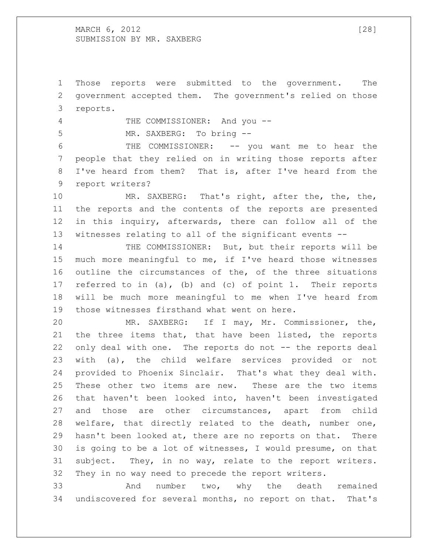### MARCH , 2012 [28] SUBMISSION BY MR. SAXBERG

 Those reports were submitted to the government. The government accepted them. The government's relied on those reports.

THE COMMISSIONER: And you --

MR. SAXBERG: To bring --

 THE COMMISSIONER: -- you want me to hear the people that they relied on in writing those reports after I've heard from them? That is, after I've heard from the report writers?

10 MR. SAXBERG: That's right, after the, the, the, the reports and the contents of the reports are presented in this inquiry, afterwards, there can follow all of the witnesses relating to all of the significant events --

 THE COMMISSIONER: But, but their reports will be much more meaningful to me, if I've heard those witnesses outline the circumstances of the, of the three situations referred to in (a), (b) and (c) of point 1. Their reports will be much more meaningful to me when I've heard from those witnesses firsthand what went on here.

 MR. SAXBERG: If I may, Mr. Commissioner, the, the three items that, that have been listed, the reports 22 only deal with one. The reports do not -- the reports deal with (a), the child welfare services provided or not provided to Phoenix Sinclair. That's what they deal with. These other two items are new. These are the two items that haven't been looked into, haven't been investigated and those are other circumstances, apart from child welfare, that directly related to the death, number one, hasn't been looked at, there are no reports on that. There is going to be a lot of witnesses, I would presume, on that subject. They, in no way, relate to the report writers. They in no way need to precede the report writers.

 And number two, why the death remained undiscovered for several months, no report on that. That's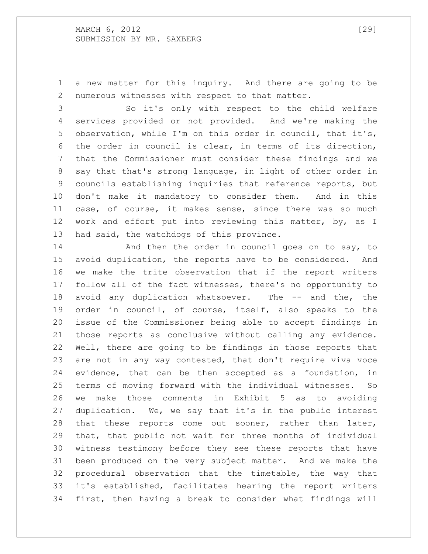MARCH 6, 2012 [29] SUBMISSION BY MR. SAXBERG

 a new matter for this inquiry. And there are going to be numerous witnesses with respect to that matter.

 So it's only with respect to the child welfare services provided or not provided. And we're making the observation, while I'm on this order in council, that it's, the order in council is clear, in terms of its direction, that the Commissioner must consider these findings and we say that that's strong language, in light of other order in councils establishing inquiries that reference reports, but don't make it mandatory to consider them. And in this case, of course, it makes sense, since there was so much work and effort put into reviewing this matter, by, as I had said, the watchdogs of this province.

**And then the order in council goes on to say, to**  avoid duplication, the reports have to be considered. And we make the trite observation that if the report writers follow all of the fact witnesses, there's no opportunity to avoid any duplication whatsoever. The -- and the, the order in council, of course, itself, also speaks to the issue of the Commissioner being able to accept findings in those reports as conclusive without calling any evidence. Well, there are going to be findings in those reports that are not in any way contested, that don't require viva voce evidence, that can be then accepted as a foundation, in terms of moving forward with the individual witnesses. So we make those comments in Exhibit 5 as to avoiding duplication. We, we say that it's in the public interest that these reports come out sooner, rather than later, that, that public not wait for three months of individual witness testimony before they see these reports that have been produced on the very subject matter. And we make the procedural observation that the timetable, the way that it's established, facilitates hearing the report writers first, then having a break to consider what findings will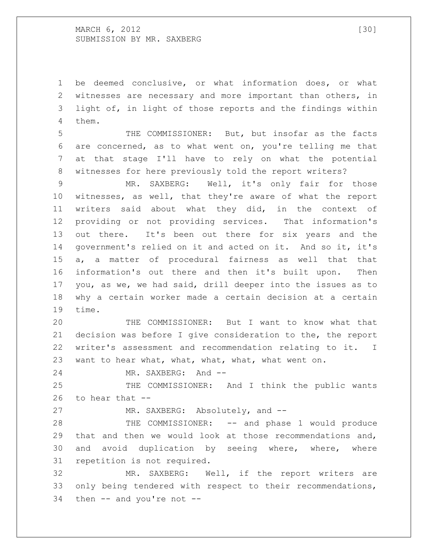## MARCH 6, 2012 [30] SUBMISSION BY MR. SAXBERG

 be deemed conclusive, or what information does, or what witnesses are necessary and more important than others, in light of, in light of those reports and the findings within them.

 THE COMMISSIONER: But, but insofar as the facts are concerned, as to what went on, you're telling me that at that stage I'll have to rely on what the potential witnesses for here previously told the report writers?

 MR. SAXBERG: Well, it's only fair for those witnesses, as well, that they're aware of what the report writers said about what they did, in the context of providing or not providing services. That information's out there. It's been out there for six years and the government's relied on it and acted on it. And so it, it's a, a matter of procedural fairness as well that that information's out there and then it's built upon. Then you, as we, we had said, drill deeper into the issues as to why a certain worker made a certain decision at a certain time.

 THE COMMISSIONER: But I want to know what that decision was before I give consideration to the, the report writer's assessment and recommendation relating to it. I want to hear what, what, what, what, what went on.

MR. SAXBERG: And --

 THE COMMISSIONER: And I think the public wants 26 to hear that  $-$ 

27 MR. SAXBERG: Absolutely, and --

 THE COMMISSIONER: -- and phase 1 would produce that and then we would look at those recommendations and, and avoid duplication by seeing where, where, where repetition is not required.

 MR. SAXBERG: Well, if the report writers are only being tendered with respect to their recommendations, then -- and you're not --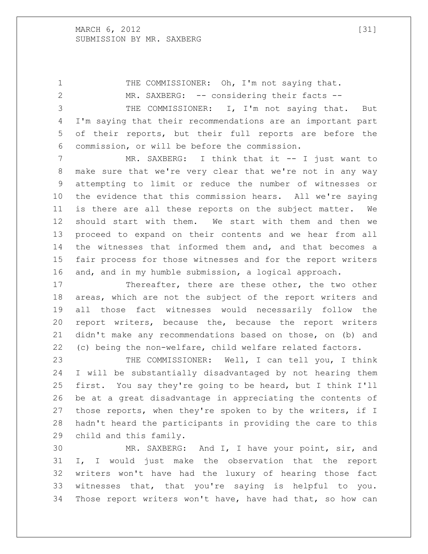## MARCH 6, 2012 [31] SUBMISSION BY MR. SAXBERG

1 THE COMMISSIONER: Oh, I'm not saying that. 2 MR. SAXBERG: -- considering their facts -- THE COMMISSIONER: I, I'm not saying that. But I'm saying that their recommendations are an important part of their reports, but their full reports are before the commission, or will be before the commission.

 MR. SAXBERG: I think that it -- I just want to make sure that we're very clear that we're not in any way attempting to limit or reduce the number of witnesses or the evidence that this commission hears. All we're saying is there are all these reports on the subject matter. We should start with them. We start with them and then we proceed to expand on their contents and we hear from all the witnesses that informed them and, and that becomes a fair process for those witnesses and for the report writers and, and in my humble submission, a logical approach.

 Thereafter, there are these other, the two other areas, which are not the subject of the report writers and all those fact witnesses would necessarily follow the report writers, because the, because the report writers didn't make any recommendations based on those, on (b) and (c) being the non-welfare, child welfare related factors.

 THE COMMISSIONER: Well, I can tell you, I think I will be substantially disadvantaged by not hearing them first. You say they're going to be heard, but I think I'll be at a great disadvantage in appreciating the contents of those reports, when they're spoken to by the writers, if I hadn't heard the participants in providing the care to this child and this family.

 MR. SAXBERG: And I, I have your point, sir, and I, I would just make the observation that the report writers won't have had the luxury of hearing those fact witnesses that, that you're saying is helpful to you. Those report writers won't have, have had that, so how can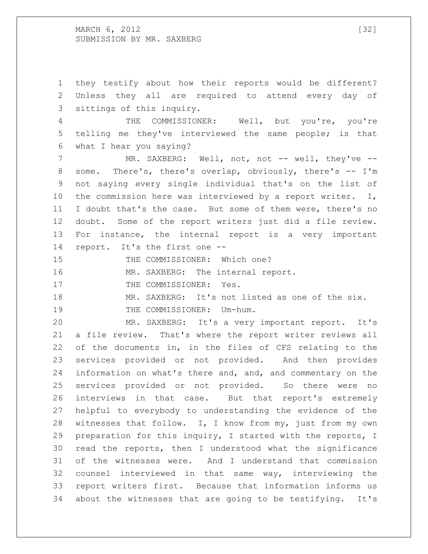MARCH , 2012 [32] SUBMISSION BY MR. SAXBERG

 they testify about how their reports would be different? Unless they all are required to attend every day of sittings of this inquiry. THE COMMISSIONER: Well, but you're, you're telling me they've interviewed the same people; is that what I hear you saying? 7 MR. SAXBERG: Well, not, not -- well, they've -- some. There's, there's overlap, obviously, there's -- I'm not saying every single individual that's on the list of 10 the commission here was interviewed by a report writer. I, I doubt that's the case. But some of them were, there's no doubt. Some of the report writers just did a file review. For instance, the internal report is a very important report. It's the first one -- 15 THE COMMISSIONER: Which one? 16 MR. SAXBERG: The internal report. 17 THE COMMISSIONER: Yes. MR. SAXBERG: It's not listed as one of the six. 19 THE COMMISSIONER: Um-hum. MR. SAXBERG: It's a very important report. It's a file review. That's where the report writer reviews all of the documents in, in the files of CFS relating to the services provided or not provided. And then provides information on what's there and, and, and commentary on the services provided or not provided. So there were no interviews in that case. But that report's extremely helpful to everybody to understanding the evidence of the 28 witnesses that follow. I, I know from my, just from my own preparation for this inquiry, I started with the reports, I read the reports, then I understood what the significance of the witnesses were. And I understand that commission counsel interviewed in that same way, interviewing the report writers first. Because that information informs us about the witnesses that are going to be testifying. It's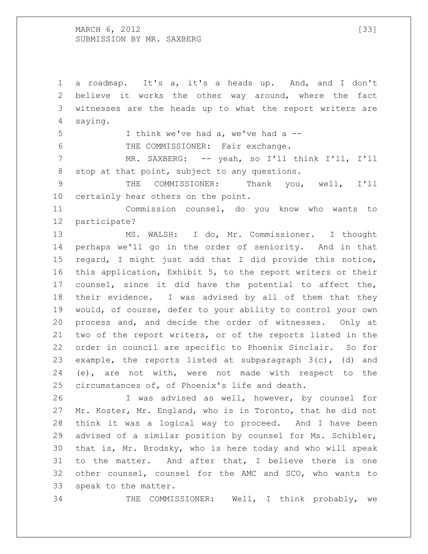MARCH 6, 2012 [33] SUBMISSION BY MR. SAXBERG

 a roadmap. It's a, it's a heads up. And, and I don't believe it works the other way around, where the fact witnesses are the heads up to what the report writers are saying.

I think we've had a, we've had a --

THE COMMISSIONER: Fair exchange.

 MR. SAXBERG: -- yeah, so I'll think I'll, I'll stop at that point, subject to any questions.

 THE COMMISSIONER: Thank you, well, I'll certainly hear others on the point.

 Commission counsel, do you know who wants to participate?

 MS. WALSH: I do, Mr. Commissioner. I thought perhaps we'll go in the order of seniority. And in that regard, I might just add that I did provide this notice, this application, Exhibit 5, to the report writers or their counsel, since it did have the potential to affect the, their evidence. I was advised by all of them that they would, of course, defer to your ability to control your own process and, and decide the order of witnesses. Only at two of the report writers, or of the reports listed in the order in council are specific to Phoenix Sinclair. So for example, the reports listed at subparagraph 3(c), (d) and (e), are not with, were not made with respect to the circumstances of, of Phoenix's life and death.

 I was advised as well, however, by counsel for Mr. Koster, Mr. England, who is in Toronto, that he did not think it was a logical way to proceed. And I have been advised of a similar position by counsel for Ms. Schibler, that is, Mr. Brodsky, who is here today and who will speak to the matter. And after that, I believe there is one other counsel, counsel for the AMC and SCO, who wants to speak to the matter.

THE COMMISSIONER: Well, I think probably, we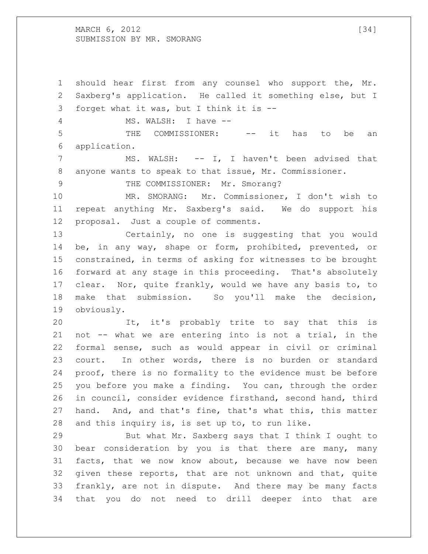MARCH , 2012 [34] SUBMISSION BY MR. SMORANG

 should hear first from any counsel who support the, Mr. Saxberg's application. He called it something else, but I forget what it was, but I think it is -- 4 MS. WALSH: I have --

 THE COMMISSIONER: -- it has to be an application.

 MS. WALSH: -- I, I haven't been advised that anyone wants to speak to that issue, Mr. Commissioner.

9 THE COMMISSIONER: Mr. Smorang?

 MR. SMORANG: Mr. Commissioner, I don't wish to repeat anything Mr. Saxberg's said. We do support his proposal. Just a couple of comments.

 Certainly, no one is suggesting that you would be, in any way, shape or form, prohibited, prevented, or constrained, in terms of asking for witnesses to be brought forward at any stage in this proceeding. That's absolutely clear. Nor, quite frankly, would we have any basis to, to make that submission. So you'll make the decision, obviously.

 It, it's probably trite to say that this is not -- what we are entering into is not a trial, in the formal sense, such as would appear in civil or criminal court. In other words, there is no burden or standard proof, there is no formality to the evidence must be before you before you make a finding. You can, through the order in council, consider evidence firsthand, second hand, third hand. And, and that's fine, that's what this, this matter and this inquiry is, is set up to, to run like.

 But what Mr. Saxberg says that I think I ought to bear consideration by you is that there are many, many facts, that we now know about, because we have now been given these reports, that are not unknown and that, quite frankly, are not in dispute. And there may be many facts that you do not need to drill deeper into that are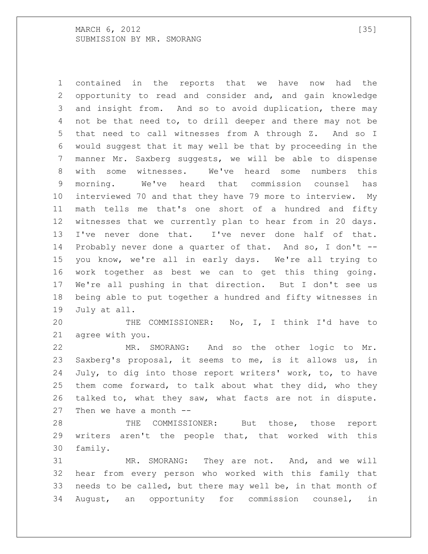contained in the reports that we have now had the opportunity to read and consider and, and gain knowledge and insight from. And so to avoid duplication, there may not be that need to, to drill deeper and there may not be that need to call witnesses from A through Z. And so I would suggest that it may well be that by proceeding in the manner Mr. Saxberg suggests, we will be able to dispense with some witnesses. We've heard some numbers this morning. We've heard that commission counsel has interviewed 70 and that they have 79 more to interview. My math tells me that's one short of a hundred and fifty witnesses that we currently plan to hear from in 20 days. I've never done that. I've never done half of that. Probably never done a quarter of that. And so, I don't -- you know, we're all in early days. We're all trying to work together as best we can to get this thing going. We're all pushing in that direction. But I don't see us being able to put together a hundred and fifty witnesses in July at all.

 THE COMMISSIONER: No, I, I think I'd have to agree with you.

 MR. SMORANG: And so the other logic to Mr. Saxberg's proposal, it seems to me, is it allows us, in July, to dig into those report writers' work, to, to have them come forward, to talk about what they did, who they talked to, what they saw, what facts are not in dispute. Then we have a month --

 THE COMMISSIONER: But those, those report writers aren't the people that, that worked with this family.

 MR. SMORANG: They are not. And, and we will hear from every person who worked with this family that needs to be called, but there may well be, in that month of August, an opportunity for commission counsel, in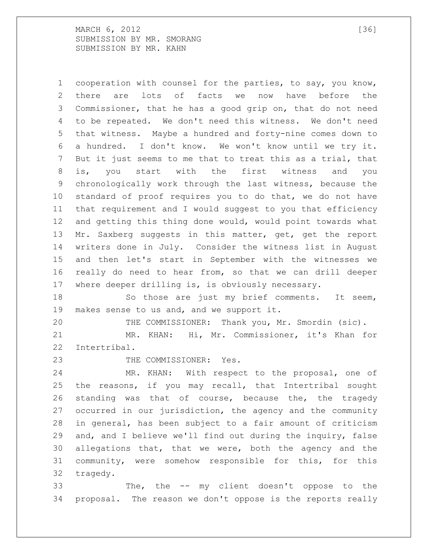MARCH , 2012 [36] SUBMISSION BY MR. SMORANG SUBMISSION BY MR. KAHN

 cooperation with counsel for the parties, to say, you know, there are lots of facts we now have before the Commissioner, that he has a good grip on, that do not need to be repeated. We don't need this witness. We don't need that witness. Maybe a hundred and forty-nine comes down to a hundred. I don't know. We won't know until we try it. But it just seems to me that to treat this as a trial, that is, you start with the first witness and you chronologically work through the last witness, because the standard of proof requires you to do that, we do not have that requirement and I would suggest to you that efficiency and getting this thing done would, would point towards what Mr. Saxberg suggests in this matter, get, get the report writers done in July. Consider the witness list in August and then let's start in September with the witnesses we really do need to hear from, so that we can drill deeper where deeper drilling is, is obviously necessary.

 So those are just my brief comments. It seem, makes sense to us and, and we support it.

THE COMMISSIONER: Thank you, Mr. Smordin (sic).

 MR. KHAN: Hi, Mr. Commissioner, it's Khan for Intertribal.

23 THE COMMISSIONER: Yes.

 MR. KHAN: With respect to the proposal, one of the reasons, if you may recall, that Intertribal sought standing was that of course, because the, the tragedy occurred in our jurisdiction, the agency and the community in general, has been subject to a fair amount of criticism and, and I believe we'll find out during the inquiry, false allegations that, that we were, both the agency and the community, were somehow responsible for this, for this tragedy.

 The, the -- my client doesn't oppose to the proposal. The reason we don't oppose is the reports really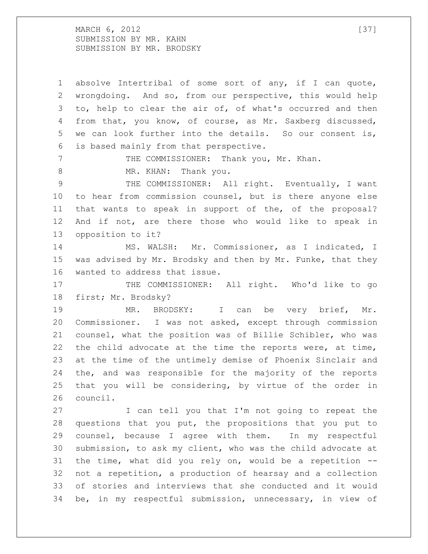MARCH , 2012 [37] SUBMISSION BY MR. KAHN SUBMISSION BY MR. BRODSKY

 absolve Intertribal of some sort of any, if I can quote, wrongdoing. And so, from our perspective, this would help to, help to clear the air of, of what's occurred and then from that, you know, of course, as Mr. Saxberg discussed, we can look further into the details. So our consent is, is based mainly from that perspective. THE COMMISSIONER: Thank you, Mr. Khan. 8 MR. KHAN: Thank you. THE COMMISSIONER: All right. Eventually, I want to hear from commission counsel, but is there anyone else that wants to speak in support of the, of the proposal? And if not, are there those who would like to speak in opposition to it? MS. WALSH: Mr. Commissioner, as I indicated, I was advised by Mr. Brodsky and then by Mr. Funke, that they wanted to address that issue. 17 THE COMMISSIONER: All right. Who'd like to go first; Mr. Brodsky? MR. BRODSKY: I can be very brief, Mr. Commissioner. I was not asked, except through commission counsel, what the position was of Billie Schibler, who was the child advocate at the time the reports were, at time, at the time of the untimely demise of Phoenix Sinclair and the, and was responsible for the majority of the reports that you will be considering, by virtue of the order in council. I can tell you that I'm not going to repeat the questions that you put, the propositions that you put to counsel, because I agree with them. In my respectful submission, to ask my client, who was the child advocate at the time, what did you rely on, would be a repetition -- not a repetition, a production of hearsay and a collection of stories and interviews that she conducted and it would be, in my respectful submission, unnecessary, in view of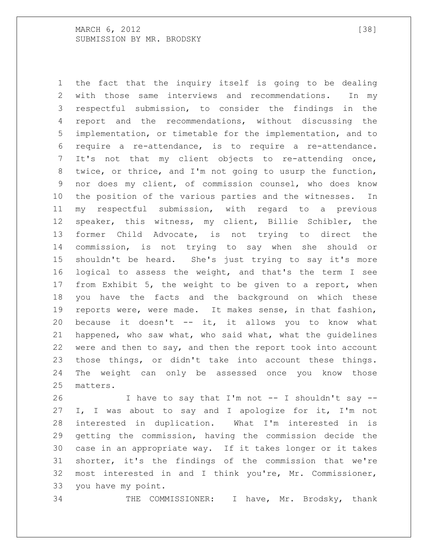the fact that the inquiry itself is going to be dealing with those same interviews and recommendations. In my respectful submission, to consider the findings in the report and the recommendations, without discussing the implementation, or timetable for the implementation, and to require a re-attendance, is to require a re-attendance. It's not that my client objects to re-attending once, twice, or thrice, and I'm not going to usurp the function, nor does my client, of commission counsel, who does know the position of the various parties and the witnesses. In my respectful submission, with regard to a previous speaker, this witness, my client, Billie Schibler, the former Child Advocate, is not trying to direct the commission, is not trying to say when she should or shouldn't be heard. She's just trying to say it's more logical to assess the weight, and that's the term I see from Exhibit 5, the weight to be given to a report, when you have the facts and the background on which these reports were, were made. It makes sense, in that fashion, because it doesn't -- it, it allows you to know what happened, who saw what, who said what, what the guidelines were and then to say, and then the report took into account those things, or didn't take into account these things. The weight can only be assessed once you know those matters.

 I have to say that I'm not -- I shouldn't say -- I, I was about to say and I apologize for it, I'm not interested in duplication. What I'm interested in is getting the commission, having the commission decide the case in an appropriate way. If it takes longer or it takes shorter, it's the findings of the commission that we're most interested in and I think you're, Mr. Commissioner, you have my point.

THE COMMISSIONER: I have, Mr. Brodsky, thank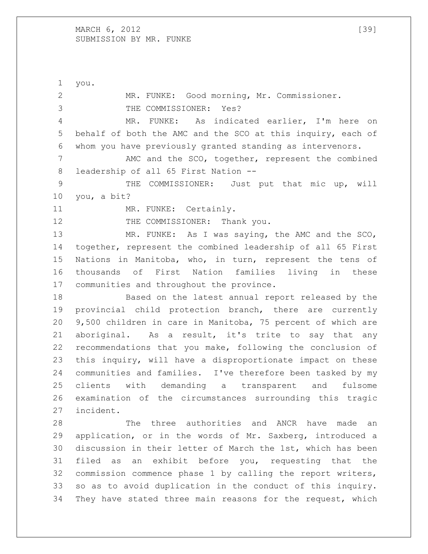MARCH 6, 2012 [39] SUBMISSION BY MR. FUNKE

 you. MR. FUNKE: Good morning, Mr. Commissioner. THE COMMISSIONER: Yes? MR. FUNKE: As indicated earlier, I'm here on behalf of both the AMC and the SCO at this inquiry, each of whom you have previously granted standing as intervenors. 7 MMC and the SCO, together, represent the combined leadership of all 65 First Nation -- THE COMMISSIONER: Just put that mic up, will you, a bit? 11 MR. FUNKE: Certainly. 12 THE COMMISSIONER: Thank you. MR. FUNKE: As I was saying, the AMC and the SCO, together, represent the combined leadership of all 65 First Nations in Manitoba, who, in turn, represent the tens of thousands of First Nation families living in these communities and throughout the province. Based on the latest annual report released by the provincial child protection branch, there are currently 9,500 children in care in Manitoba, 75 percent of which are aboriginal. As a result, it's trite to say that any recommendations that you make, following the conclusion of this inquiry, will have a disproportionate impact on these communities and families. I've therefore been tasked by my clients with demanding a transparent and fulsome examination of the circumstances surrounding this tragic incident. The three authorities and ANCR have made an application, or in the words of Mr. Saxberg, introduced a discussion in their letter of March the 1st, which has been filed as an exhibit before you, requesting that the commission commence phase 1 by calling the report writers, so as to avoid duplication in the conduct of this inquiry. They have stated three main reasons for the request, which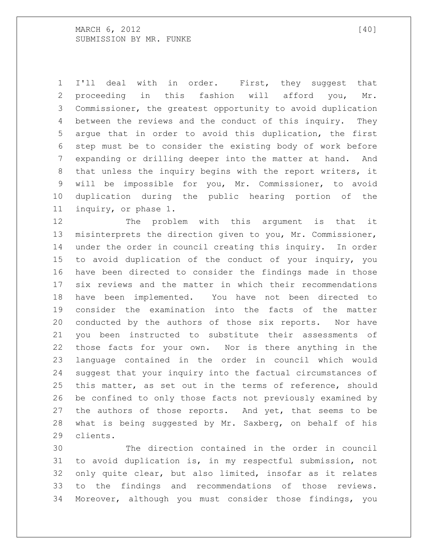MARCH 6, 2012 [40] SUBMISSION BY MR. FUNKE

 I'll deal with in order. First, they suggest that proceeding in this fashion will afford you, Mr. Commissioner, the greatest opportunity to avoid duplication between the reviews and the conduct of this inquiry. They argue that in order to avoid this duplication, the first step must be to consider the existing body of work before expanding or drilling deeper into the matter at hand. And that unless the inquiry begins with the report writers, it will be impossible for you, Mr. Commissioner, to avoid duplication during the public hearing portion of the inquiry, or phase 1.

12 The problem with this argument is that it misinterprets the direction given to you, Mr. Commissioner, under the order in council creating this inquiry. In order to avoid duplication of the conduct of your inquiry, you have been directed to consider the findings made in those six reviews and the matter in which their recommendations have been implemented. You have not been directed to consider the examination into the facts of the matter conducted by the authors of those six reports. Nor have you been instructed to substitute their assessments of those facts for your own. Nor is there anything in the language contained in the order in council which would suggest that your inquiry into the factual circumstances of this matter, as set out in the terms of reference, should be confined to only those facts not previously examined by the authors of those reports. And yet, that seems to be what is being suggested by Mr. Saxberg, on behalf of his clients.

 The direction contained in the order in council to avoid duplication is, in my respectful submission, not only quite clear, but also limited, insofar as it relates to the findings and recommendations of those reviews. Moreover, although you must consider those findings, you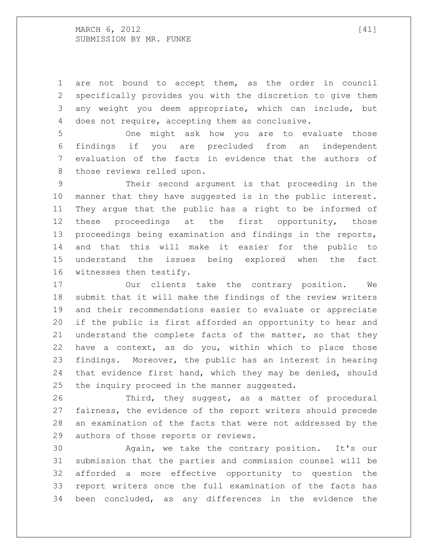MARCH 6, 2012 [41] SUBMISSION BY MR. FUNKE

 are not bound to accept them, as the order in council specifically provides you with the discretion to give them any weight you deem appropriate, which can include, but does not require, accepting them as conclusive.

 One might ask how you are to evaluate those findings if you are precluded from an independent evaluation of the facts in evidence that the authors of those reviews relied upon.

 Their second argument is that proceeding in the manner that they have suggested is in the public interest. They argue that the public has a right to be informed of 12 these proceedings at the first opportunity, those proceedings being examination and findings in the reports, and that this will make it easier for the public to understand the issues being explored when the fact witnesses then testify.

 Our clients take the contrary position. We submit that it will make the findings of the review writers and their recommendations easier to evaluate or appreciate if the public is first afforded an opportunity to hear and understand the complete facts of the matter, so that they have a context, as do you, within which to place those findings. Moreover, the public has an interest in hearing that evidence first hand, which they may be denied, should the inquiry proceed in the manner suggested.

 Third, they suggest, as a matter of procedural fairness, the evidence of the report writers should precede an examination of the facts that were not addressed by the authors of those reports or reviews.

 Again, we take the contrary position. It's our submission that the parties and commission counsel will be afforded a more effective opportunity to question the report writers once the full examination of the facts has been concluded, as any differences in the evidence the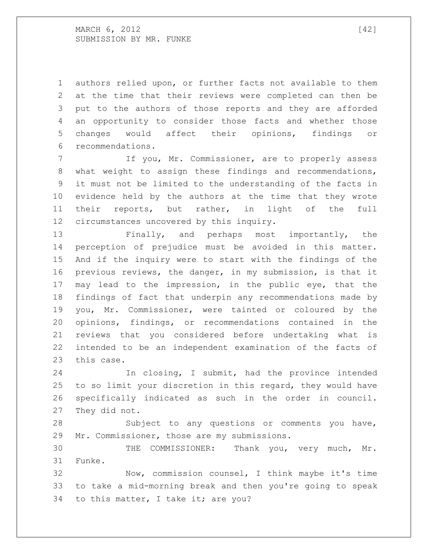authors relied upon, or further facts not available to them at the time that their reviews were completed can then be put to the authors of those reports and they are afforded an opportunity to consider those facts and whether those changes would affect their opinions, findings or recommendations.

 If you, Mr. Commissioner, are to properly assess what weight to assign these findings and recommendations, it must not be limited to the understanding of the facts in evidence held by the authors at the time that they wrote their reports, but rather, in light of the full circumstances uncovered by this inquiry.

 Finally, and perhaps most importantly, the perception of prejudice must be avoided in this matter. And if the inquiry were to start with the findings of the previous reviews, the danger, in my submission, is that it may lead to the impression, in the public eye, that the findings of fact that underpin any recommendations made by you, Mr. Commissioner, were tainted or coloured by the opinions, findings, or recommendations contained in the reviews that you considered before undertaking what is intended to be an independent examination of the facts of this case.

 In closing, I submit, had the province intended to so limit your discretion in this regard, they would have specifically indicated as such in the order in council. They did not.

 Subject to any questions or comments you have, Mr. Commissioner, those are my submissions.

 THE COMMISSIONER: Thank you, very much, Mr. Funke.

 Now, commission counsel, I think maybe it's time to take a mid-morning break and then you're going to speak to this matter, I take it; are you?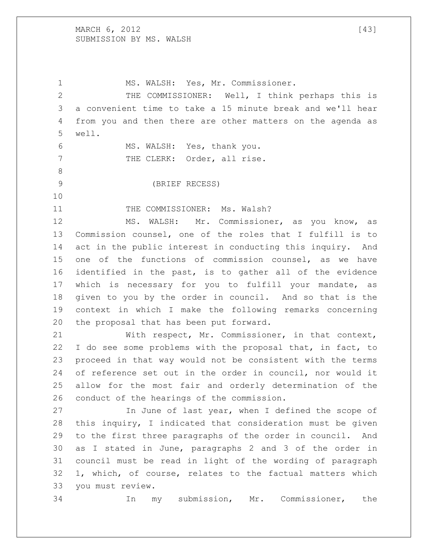MARCH 6, 2012 [43] SUBMISSION BY MS. WALSH

 MS. WALSH: Yes, Mr. Commissioner. THE COMMISSIONER: Well, I think perhaps this is a convenient time to take a 15 minute break and we'll hear from you and then there are other matters on the agenda as well. MS. WALSH: Yes, thank you. 7 THE CLERK: Order, all rise. (BRIEF RECESS) 11 THE COMMISSIONER: Ms. Walsh? MS. WALSH: Mr. Commissioner, as you know, as Commission counsel, one of the roles that I fulfill is to 14 act in the public interest in conducting this inquiry. And one of the functions of commission counsel, as we have identified in the past, is to gather all of the evidence which is necessary for you to fulfill your mandate, as given to you by the order in council. And so that is the context in which I make the following remarks concerning the proposal that has been put forward. With respect, Mr. Commissioner, in that context, 22 I do see some problems with the proposal that, in fact, to proceed in that way would not be consistent with the terms of reference set out in the order in council, nor would it allow for the most fair and orderly determination of the conduct of the hearings of the commission. In June of last year, when I defined the scope of this inquiry, I indicated that consideration must be given to the first three paragraphs of the order in council. And as I stated in June, paragraphs 2 and 3 of the order in council must be read in light of the wording of paragraph 1, which, of course, relates to the factual matters which you must review. In my submission, Mr. Commissioner, the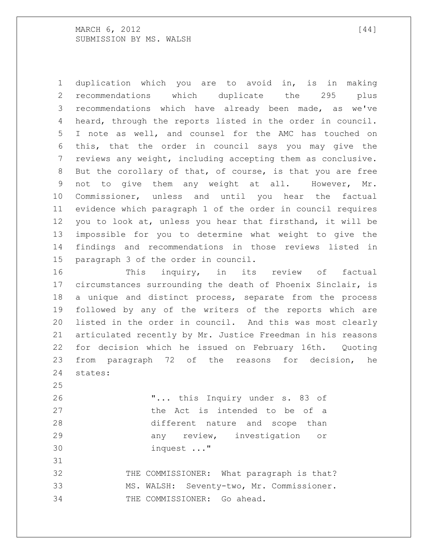MARCH 6, 2012 [44] SUBMISSION BY MS. WALSH

 duplication which you are to avoid in, is in making recommendations which duplicate the 295 plus recommendations which have already been made, as we've heard, through the reports listed in the order in council. I note as well, and counsel for the AMC has touched on this, that the order in council says you may give the reviews any weight, including accepting them as conclusive. But the corollary of that, of course, is that you are free not to give them any weight at all. However, Mr. Commissioner, unless and until you hear the factual evidence which paragraph 1 of the order in council requires you to look at, unless you hear that firsthand, it will be impossible for you to determine what weight to give the findings and recommendations in those reviews listed in paragraph 3 of the order in council.

 This inquiry, in its review of factual circumstances surrounding the death of Phoenix Sinclair, is a unique and distinct process, separate from the process followed by any of the writers of the reports which are listed in the order in council. And this was most clearly articulated recently by Mr. Justice Freedman in his reasons for decision which he issued on February 16th. Quoting from paragraph 72 of the reasons for decision, he states:

 "... this Inquiry under s. 83 of **black** the Act is intended to be of a different nature and scope than any review, investigation or inquest ..."

32 THE COMMISSIONER: What paragraph is that? MS. WALSH: Seventy-two, Mr. Commissioner. THE COMMISSIONER: Go ahead.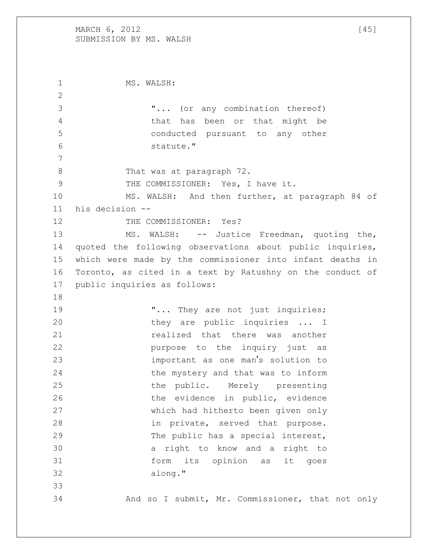## MARCH  $6, 2012$  [45] SUBMISSION BY MS. WALSH

1 MS. WALSH: "... (or any combination thereof) that has been or that might be conducted pursuant to any other statute." 8 That was at paragraph 72. THE COMMISSIONER: Yes, I have it. MS. WALSH: And then further, at paragraph 84 of his decision -- 12 THE COMMISSIONER: Yes? MS. WALSH: -- Justice Freedman, quoting the, quoted the following observations about public inquiries, which were made by the commissioner into infant deaths in Toronto, as cited in a text by Ratushny on the conduct of public inquiries as follows: 19 T... They are not just inquiries; 20 they are public inquiries ... I **realized** that there was another **purpose** to the inquiry just as important as one man's solution to the mystery and that was to inform the public. Merely presenting the evidence in public, evidence which had hitherto been given only in private, served that purpose. 29 The public has a special interest, a right to know and a right to form its opinion as it goes along." And so I submit, Mr. Commissioner, that not only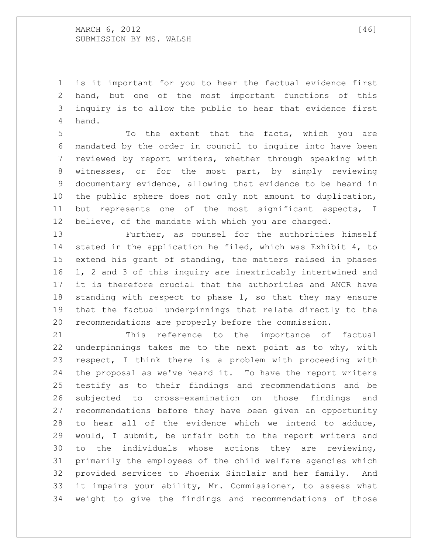is it important for you to hear the factual evidence first hand, but one of the most important functions of this inquiry is to allow the public to hear that evidence first hand.

 To the extent that the facts, which you are mandated by the order in council to inquire into have been reviewed by report writers, whether through speaking with witnesses, or for the most part, by simply reviewing documentary evidence, allowing that evidence to be heard in the public sphere does not only not amount to duplication, but represents one of the most significant aspects, I believe, of the mandate with which you are charged.

 Further, as counsel for the authorities himself stated in the application he filed, which was Exhibit 4, to extend his grant of standing, the matters raised in phases 1, 2 and 3 of this inquiry are inextricably intertwined and it is therefore crucial that the authorities and ANCR have standing with respect to phase 1, so that they may ensure that the factual underpinnings that relate directly to the recommendations are properly before the commission.

 This reference to the importance of factual underpinnings takes me to the next point as to why, with respect, I think there is a problem with proceeding with the proposal as we've heard it. To have the report writers testify as to their findings and recommendations and be subjected to cross-examination on those findings and recommendations before they have been given an opportunity to hear all of the evidence which we intend to adduce, would, I submit, be unfair both to the report writers and to the individuals whose actions they are reviewing, primarily the employees of the child welfare agencies which provided services to Phoenix Sinclair and her family. And it impairs your ability, Mr. Commissioner, to assess what weight to give the findings and recommendations of those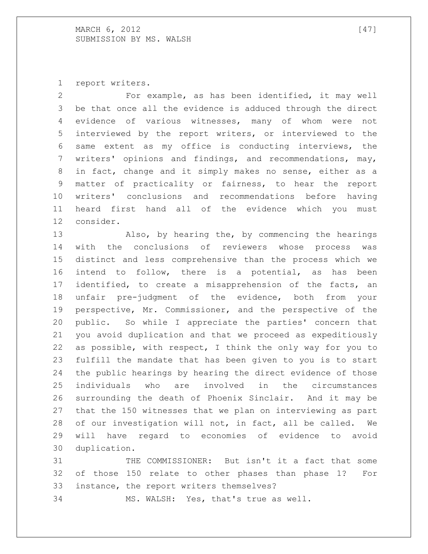report writers.

 For example, as has been identified, it may well be that once all the evidence is adduced through the direct evidence of various witnesses, many of whom were not interviewed by the report writers, or interviewed to the same extent as my office is conducting interviews, the writers' opinions and findings, and recommendations, may, in fact, change and it simply makes no sense, either as a matter of practicality or fairness, to hear the report writers' conclusions and recommendations before having heard first hand all of the evidence which you must consider.

 Also, by hearing the, by commencing the hearings with the conclusions of reviewers whose process was distinct and less comprehensive than the process which we intend to follow, there is a potential, as has been identified, to create a misapprehension of the facts, an unfair pre-judgment of the evidence, both from your perspective, Mr. Commissioner, and the perspective of the public. So while I appreciate the parties' concern that you avoid duplication and that we proceed as expeditiously as possible, with respect, I think the only way for you to fulfill the mandate that has been given to you is to start the public hearings by hearing the direct evidence of those individuals who are involved in the circumstances surrounding the death of Phoenix Sinclair. And it may be that the 150 witnesses that we plan on interviewing as part of our investigation will not, in fact, all be called. We will have regard to economies of evidence to avoid duplication.

 THE COMMISSIONER: But isn't it a fact that some of those 150 relate to other phases than phase 1? For instance, the report writers themselves? MS. WALSH: Yes, that's true as well.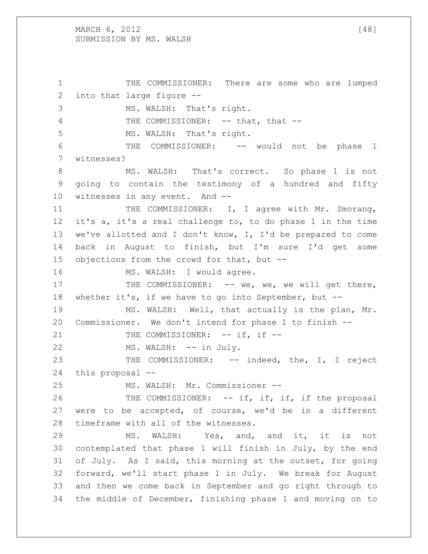MARCH  $6, 2012$  [48] SUBMISSION BY MS. WALSH

 THE COMMISSIONER: There are some who are lumped into that large figure -- MS. WALSH: That's right. 4 THE COMMISSIONER: -- that, that --5 MS. WALSH: That's right. THE COMMISSIONER: -- would not be phase 1 witnesses? MS. WALSH: That's correct. So phase 1 is not going to contain the testimony of a hundred and fifty witnesses in any event. And -- 11 THE COMMISSIONER: I, I agree with Mr. Smorang, it's a, it's a real challenge to, to do phase 1 in the time we've allotted and I don't know, I, I'd be prepared to come back in August to finish, but I'm sure I'd get some objections from the crowd for that, but -- 16 MS. WALSH: I would agree. 17 THE COMMISSIONER: -- we, we, we will get there, whether it's, if we have to go into September, but -- MS. WALSH: Well, that actually is the plan, Mr. Commissioner. We don't intend for phase 1 to finish -- 21 THE COMMISSIONER: -- if, if --22 MS. WALSH: -- in July. THE COMMISSIONER: -- indeed, the, I, I reject this proposal -- MS. WALSH: Mr. Commissioner -- 26 THE COMMISSIONER: -- if, if, if, if the proposal were to be accepted, of course, we'd be in a different timeframe with all of the witnesses. MS. WALSH: Yes, and, and it, it is not contemplated that phase 1 will finish in July, by the end of July. As I said, this morning at the outset, for going forward, we'll start phase 1 in July. We break for August and then we come back in September and go right through to the middle of December, finishing phase 1 and moving on to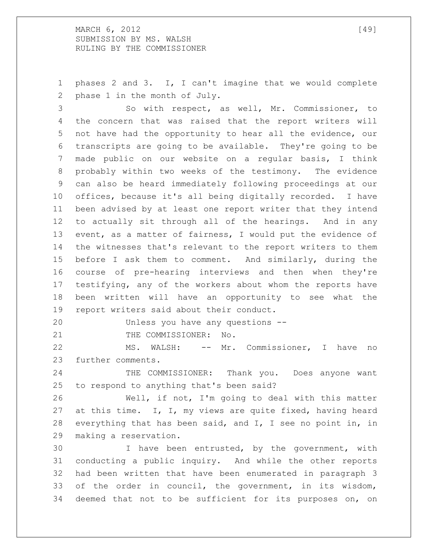MARCH 6, 2012 [49] SUBMISSION BY MS. WALSH RULING BY THE COMMISSIONER

 phases 2 and 3. I, I can't imagine that we would complete phase 1 in the month of July.

 So with respect, as well, Mr. Commissioner, to the concern that was raised that the report writers will not have had the opportunity to hear all the evidence, our transcripts are going to be available. They're going to be made public on our website on a regular basis, I think probably within two weeks of the testimony. The evidence can also be heard immediately following proceedings at our offices, because it's all being digitally recorded. I have been advised by at least one report writer that they intend to actually sit through all of the hearings. And in any event, as a matter of fairness, I would put the evidence of the witnesses that's relevant to the report writers to them before I ask them to comment. And similarly, during the course of pre-hearing interviews and then when they're testifying, any of the workers about whom the reports have been written will have an opportunity to see what the report writers said about their conduct.

Unless you have any questions --

21 THE COMMISSIONER: No.

 MS. WALSH: -- Mr. Commissioner, I have no further comments.

24 THE COMMISSIONER: Thank you. Does anyone want to respond to anything that's been said?

 Well, if not, I'm going to deal with this matter at this time. I, I, my views are quite fixed, having heard everything that has been said, and I, I see no point in, in making a reservation.

 I have been entrusted, by the government, with conducting a public inquiry. And while the other reports had been written that have been enumerated in paragraph 3 of the order in council, the government, in its wisdom, deemed that not to be sufficient for its purposes on, on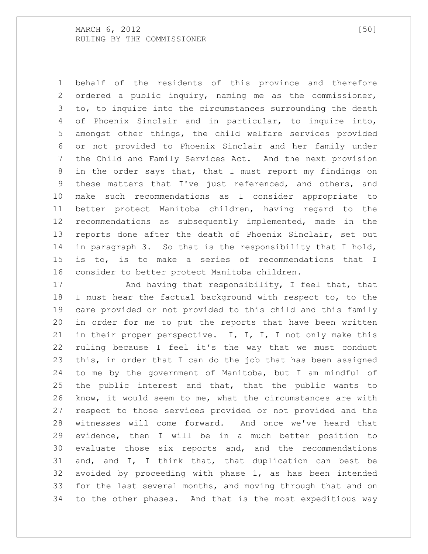behalf of the residents of this province and therefore ordered a public inquiry, naming me as the commissioner, to, to inquire into the circumstances surrounding the death of Phoenix Sinclair and in particular, to inquire into, amongst other things, the child welfare services provided or not provided to Phoenix Sinclair and her family under the Child and Family Services Act. And the next provision in the order says that, that I must report my findings on these matters that I've just referenced, and others, and make such recommendations as I consider appropriate to better protect Manitoba children, having regard to the recommendations as subsequently implemented, made in the reports done after the death of Phoenix Sinclair, set out in paragraph 3. So that is the responsibility that I hold, is to, is to make a series of recommendations that I consider to better protect Manitoba children.

17 And having that responsibility, I feel that, that I must hear the factual background with respect to, to the care provided or not provided to this child and this family in order for me to put the reports that have been written 21 in their proper perspective. I, I, I, I not only make this ruling because I feel it's the way that we must conduct this, in order that I can do the job that has been assigned to me by the government of Manitoba, but I am mindful of the public interest and that, that the public wants to know, it would seem to me, what the circumstances are with respect to those services provided or not provided and the witnesses will come forward. And once we've heard that evidence, then I will be in a much better position to evaluate those six reports and, and the recommendations and, and I, I think that, that duplication can best be avoided by proceeding with phase 1, as has been intended for the last several months, and moving through that and on to the other phases. And that is the most expeditious way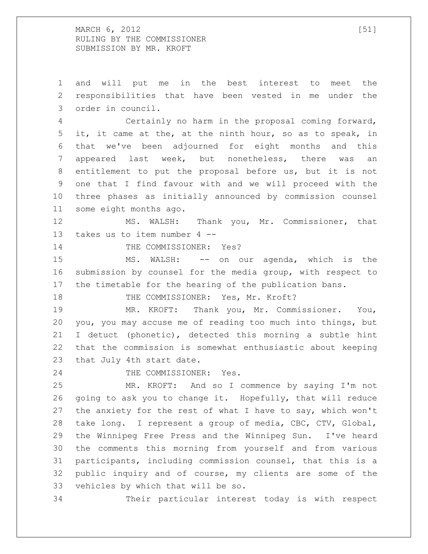MARCH 6, 2012 [51] RULING BY THE COMMISSIONER SUBMISSION BY MR. KROFT

 and will put me in the best interest to meet the responsibilities that have been vested in me under the order in council. Certainly no harm in the proposal coming forward, it, it came at the, at the ninth hour, so as to speak, in that we've been adjourned for eight months and this appeared last week, but nonetheless, there was an entitlement to put the proposal before us, but it is not one that I find favour with and we will proceed with the three phases as initially announced by commission counsel some eight months ago. MS. WALSH: Thank you, Mr. Commissioner, that takes us to item number 4 -- 14 THE COMMISSIONER: Yes? MS. WALSH: -- on our agenda, which is the submission by counsel for the media group, with respect to the timetable for the hearing of the publication bans. 18 THE COMMISSIONER: Yes, Mr. Kroft? MR. KROFT: Thank you, Mr. Commissioner. You, you, you may accuse me of reading too much into things, but I detuct (phonetic), detected this morning a subtle hint that the commission is somewhat enthusiastic about keeping that July 4th start date. THE COMMISSIONER: Yes. MR. KROFT: And so I commence by saying I'm not going to ask you to change it. Hopefully, that will reduce the anxiety for the rest of what I have to say, which won't take long. I represent a group of media, CBC, CTV, Global, the Winnipeg Free Press and the Winnipeg Sun. I've heard the comments this morning from yourself and from various participants, including commission counsel, that this is a public inquiry and of course, my clients are some of the vehicles by which that will be so. Their particular interest today is with respect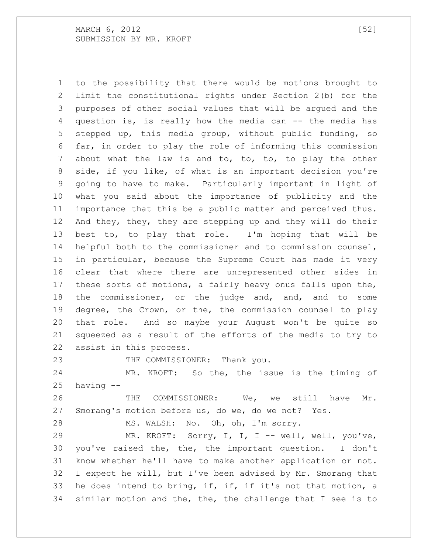to the possibility that there would be motions brought to limit the constitutional rights under Section 2(b) for the purposes of other social values that will be argued and the question is, is really how the media can -- the media has stepped up, this media group, without public funding, so far, in order to play the role of informing this commission about what the law is and to, to, to, to play the other side, if you like, of what is an important decision you're going to have to make. Particularly important in light of what you said about the importance of publicity and the importance that this be a public matter and perceived thus. And they, they, they are stepping up and they will do their best to, to play that role. I'm hoping that will be helpful both to the commissioner and to commission counsel, in particular, because the Supreme Court has made it very clear that where there are unrepresented other sides in these sorts of motions, a fairly heavy onus falls upon the, the commissioner, or the judge and, and, and to some degree, the Crown, or the, the commission counsel to play that role. And so maybe your August won't be quite so squeezed as a result of the efforts of the media to try to assist in this process.

23 THE COMMISSIONER: Thank you.

 MR. KROFT: So the, the issue is the timing of having --

 THE COMMISSIONER: We, we still have Mr. Smorang's motion before us, do we, do we not? Yes.

MS. WALSH: No. Oh, oh, I'm sorry.

 MR. KROFT: Sorry, I, I, I -- well, well, you've, you've raised the, the, the important question. I don't know whether he'll have to make another application or not. I expect he will, but I've been advised by Mr. Smorang that he does intend to bring, if, if, if it's not that motion, a similar motion and the, the, the challenge that I see is to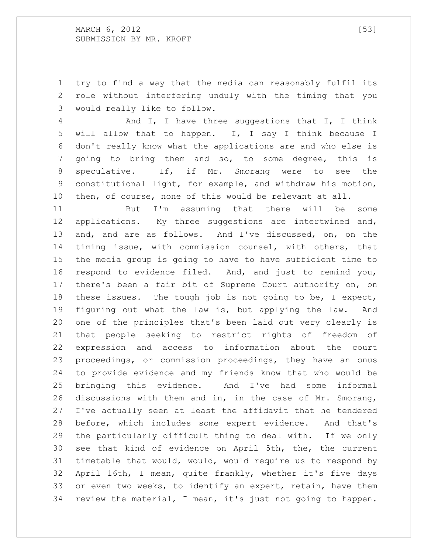MARCH 6, 2012 [53] SUBMISSION BY MR. KROFT

 try to find a way that the media can reasonably fulfil its role without interfering unduly with the timing that you would really like to follow.

 And I, I have three suggestions that I, I think will allow that to happen. I, I say I think because I don't really know what the applications are and who else is going to bring them and so, to some degree, this is speculative. If, if Mr. Smorang were to see the constitutional light, for example, and withdraw his motion, then, of course, none of this would be relevant at all.

 But I'm assuming that there will be some applications. My three suggestions are intertwined and, and, and are as follows. And I've discussed, on, on the timing issue, with commission counsel, with others, that the media group is going to have to have sufficient time to respond to evidence filed. And, and just to remind you, there's been a fair bit of Supreme Court authority on, on these issues. The tough job is not going to be, I expect, figuring out what the law is, but applying the law. And one of the principles that's been laid out very clearly is that people seeking to restrict rights of freedom of expression and access to information about the court proceedings, or commission proceedings, they have an onus to provide evidence and my friends know that who would be bringing this evidence. And I've had some informal discussions with them and in, in the case of Mr. Smorang, I've actually seen at least the affidavit that he tendered before, which includes some expert evidence. And that's the particularly difficult thing to deal with. If we only see that kind of evidence on April 5th, the, the current timetable that would, would, would require us to respond by April 16th, I mean, quite frankly, whether it's five days or even two weeks, to identify an expert, retain, have them review the material, I mean, it's just not going to happen.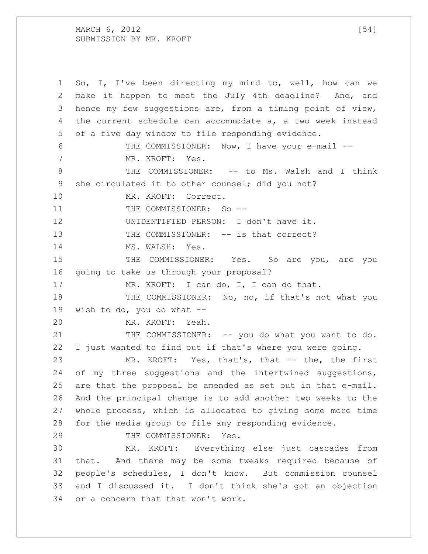MARCH  $6, 2012$  [54] SUBMISSION BY MR. KROFT

 So, I, I've been directing my mind to, well, how can we make it happen to meet the July 4th deadline? And, and hence my few suggestions are, from a timing point of view, the current schedule can accommodate a, a two week instead of a five day window to file responding evidence. THE COMMISSIONER: Now, I have your e-mail -- MR. KROFT: Yes. 8 THE COMMISSIONER: -- to Ms. Walsh and I think she circulated it to other counsel; did you not? MR. KROFT: Correct. 11 THE COMMISSIONER: So -- UNIDENTIFIED PERSON: I don't have it. 13 THE COMMISSIONER: -- is that correct? 14 MS. WALSH: Yes. 15 THE COMMISSIONER: Yes. So are you, are you going to take us through your proposal? 17 MR. KROFT: I can do, I, I can do that. THE COMMISSIONER: No, no, if that's not what you wish to do, you do what -- MR. KROFT: Yeah. 21 THE COMMISSIONER: -- you do what you want to do. I just wanted to find out if that's where you were going. MR. KROFT: Yes, that's, that -- the, the first 24 of my three suggestions and the intertwined suggestions, are that the proposal be amended as set out in that e-mail. And the principal change is to add another two weeks to the whole process, which is allocated to giving some more time for the media group to file any responding evidence. 29 THE COMMISSIONER: Yes. MR. KROFT: Everything else just cascades from that. And there may be some tweaks required because of people's schedules, I don't know. But commission counsel and I discussed it. I don't think she's got an objection or a concern that that won't work.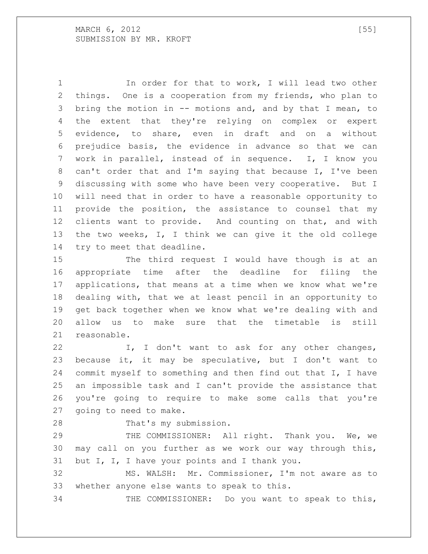1 1 In order for that to work, I will lead two other things. One is a cooperation from my friends, who plan to bring the motion in -- motions and, and by that I mean, to the extent that they're relying on complex or expert evidence, to share, even in draft and on a without prejudice basis, the evidence in advance so that we can work in parallel, instead of in sequence. I, I know you can't order that and I'm saying that because I, I've been discussing with some who have been very cooperative. But I will need that in order to have a reasonable opportunity to provide the position, the assistance to counsel that my clients want to provide. And counting on that, and with the two weeks, I, I think we can give it the old college try to meet that deadline.

 The third request I would have though is at an appropriate time after the deadline for filing the applications, that means at a time when we know what we're dealing with, that we at least pencil in an opportunity to get back together when we know what we're dealing with and allow us to make sure that the timetable is still reasonable.

22 I, I don't want to ask for any other changes, because it, it may be speculative, but I don't want to commit myself to something and then find out that I, I have an impossible task and I can't provide the assistance that you're going to require to make some calls that you're going to need to make.

That's my submission.

29 THE COMMISSIONER: All right. Thank you. We, we may call on you further as we work our way through this, 31 but I, I, I have your points and I thank you.

 MS. WALSH: Mr. Commissioner, I'm not aware as to whether anyone else wants to speak to this.

THE COMMISSIONER: Do you want to speak to this,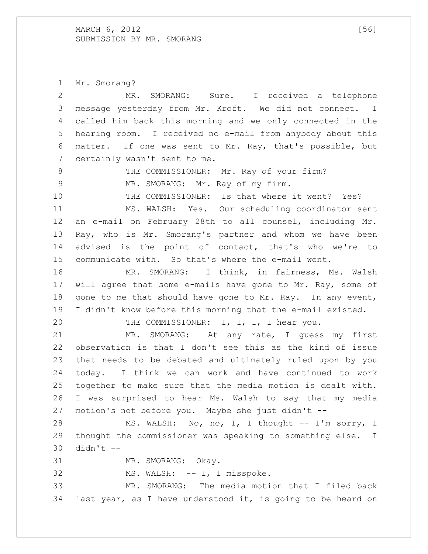MARCH , 2012 [56] SUBMISSION BY MR. SMORANG

 Mr. Smorang? MR. SMORANG: Sure. I received a telephone message yesterday from Mr. Kroft. We did not connect. I called him back this morning and we only connected in the hearing room. I received no e-mail from anybody about this matter. If one was sent to Mr. Ray, that's possible, but certainly wasn't sent to me. 8 THE COMMISSIONER: Mr. Ray of your firm? 9 MR. SMORANG: Mr. Ray of my firm. THE COMMISSIONER: Is that where it went? Yes? MS. WALSH: Yes. Our scheduling coordinator sent an e-mail on February 28th to all counsel, including Mr. Ray, who is Mr. Smorang's partner and whom we have been advised is the point of contact, that's who we're to communicate with. So that's where the e-mail went. MR. SMORANG: I think, in fairness, Ms. Walsh will agree that some e-mails have gone to Mr. Ray, some of 18 gone to me that should have gone to Mr. Ray. In any event, I didn't know before this morning that the e-mail existed. THE COMMISSIONER: I, I, I, I hear you. MR. SMORANG: At any rate, I guess my first observation is that I don't see this as the kind of issue that needs to be debated and ultimately ruled upon by you today. I think we can work and have continued to work together to make sure that the media motion is dealt with. I was surprised to hear Ms. Walsh to say that my media motion's not before you. Maybe she just didn't -- 28 MS. WALSH: No, no, I, I thought -- I'm sorry, I thought the commissioner was speaking to something else. I didn't  $-$  MR. SMORANG: Okay. 32 MS. WALSH: -- I, I misspoke. MR. SMORANG: The media motion that I filed back last year, as I have understood it, is going to be heard on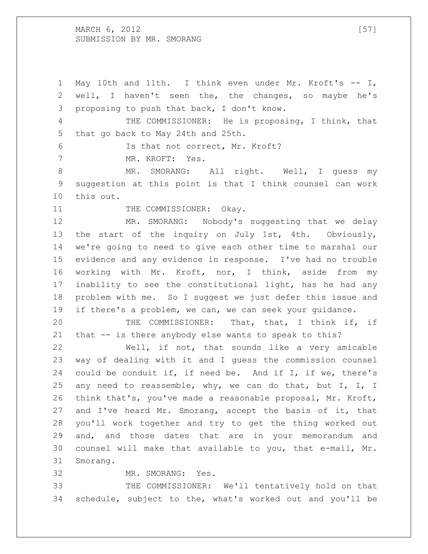MARCH 6, 2012 [57] SUBMISSION BY MR. SMORANG

 May 10th and 11th. I think even under Mr. Kroft's -- I, well, I haven't seen the, the changes, so maybe he's proposing to push that back, I don't know. THE COMMISSIONER: He is proposing, I think, that that go back to May 24th and 25th. Is that not correct, Mr. Kroft? MR. KROFT: Yes. 8 MR. SMORANG: All right. Well, I guess my suggestion at this point is that I think counsel can work this out. 11 THE COMMISSIONER: Okay. MR. SMORANG: Nobody's suggesting that we delay the start of the inquiry on July 1st, 4th. Obviously, we're going to need to give each other time to marshal our evidence and any evidence in response. I've had no trouble working with Mr. Kroft, nor, I think, aside from my inability to see the constitutional light, has he had any problem with me. So I suggest we just defer this issue and if there's a problem, we can, we can seek your guidance. THE COMMISSIONER: That, that, I think if, if that -- is there anybody else wants to speak to this? Well, if not, that sounds like a very amicable way of dealing with it and I guess the commission counsel could be conduit if, if need be. And if I, if we, there's any need to reassemble, why, we can do that, but I, I, I think that's, you've made a reasonable proposal, Mr. Kroft, and I've heard Mr. Smorang, accept the basis of it, that you'll work together and try to get the thing worked out and, and those dates that are in your memorandum and counsel will make that available to you, that e-mail, Mr. Smorang. MR. SMORANG: Yes.

 THE COMMISSIONER: We'll tentatively hold on that schedule, subject to the, what's worked out and you'll be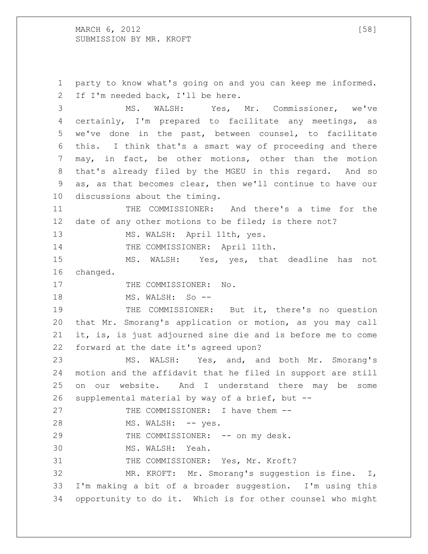MARCH 6, 2012 [58] SUBMISSION BY MR. KROFT

 party to know what's going on and you can keep me informed. If I'm needed back, I'll be here. MS. WALSH: Yes, Mr. Commissioner, we've certainly, I'm prepared to facilitate any meetings, as we've done in the past, between counsel, to facilitate this. I think that's a smart way of proceeding and there may, in fact, be other motions, other than the motion that's already filed by the MGEU in this regard. And so as, as that becomes clear, then we'll continue to have our discussions about the timing. THE COMMISSIONER: And there's a time for the 12 date of any other motions to be filed; is there not? 13 MS. WALSH: April 11th, yes. 14 THE COMMISSIONER: April 11th. MS. WALSH: Yes, yes, that deadline has not changed. 17 THE COMMISSIONER: No. 18 MS. WALSH: So -- THE COMMISSIONER: But it, there's no question that Mr. Smorang's application or motion, as you may call it, is, is just adjourned sine die and is before me to come forward at the date it's agreed upon? MS. WALSH: Yes, and, and both Mr. Smorang's motion and the affidavit that he filed in support are still on our website. And I understand there may be some supplemental material by way of a brief, but -- 27 THE COMMISSIONER: I have them --28 MS. WALSH: -- yes. 29 THE COMMISSIONER: -- on my desk. MS. WALSH: Yeah. 31 THE COMMISSIONER: Yes, Mr. Kroft? MR. KROFT: Mr. Smorang's suggestion is fine. I, I'm making a bit of a broader suggestion. I'm using this opportunity to do it. Which is for other counsel who might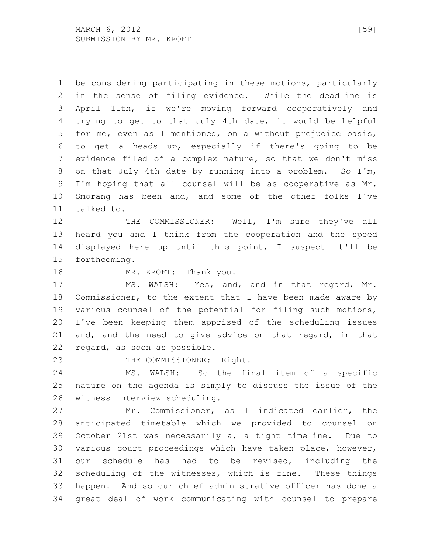MARCH 6, 2012 [59] SUBMISSION BY MR. KROFT

 be considering participating in these motions, particularly in the sense of filing evidence. While the deadline is April 11th, if we're moving forward cooperatively and trying to get to that July 4th date, it would be helpful for me, even as I mentioned, on a without prejudice basis, to get a heads up, especially if there's going to be evidence filed of a complex nature, so that we don't miss on that July 4th date by running into a problem. So I'm, I'm hoping that all counsel will be as cooperative as Mr. Smorang has been and, and some of the other folks I've talked to.

 THE COMMISSIONER: Well, I'm sure they've all heard you and I think from the cooperation and the speed displayed here up until this point, I suspect it'll be forthcoming.

16 MR. KROFT: Thank you.

 MS. WALSH: Yes, and, and in that regard, Mr. Commissioner, to the extent that I have been made aware by various counsel of the potential for filing such motions, I've been keeping them apprised of the scheduling issues and, and the need to give advice on that regard, in that regard, as soon as possible.

23 THE COMMISSIONER: Right.

 MS. WALSH: So the final item of a specific nature on the agenda is simply to discuss the issue of the witness interview scheduling.

 Mr. Commissioner, as I indicated earlier, the anticipated timetable which we provided to counsel on October 21st was necessarily a, a tight timeline. Due to various court proceedings which have taken place, however, our schedule has had to be revised, including the scheduling of the witnesses, which is fine. These things happen. And so our chief administrative officer has done a great deal of work communicating with counsel to prepare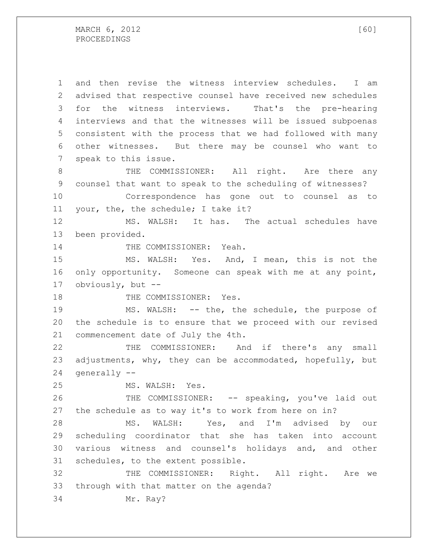and then revise the witness interview schedules. I am advised that respective counsel have received new schedules for the witness interviews. That's the pre-hearing interviews and that the witnesses will be issued subpoenas consistent with the process that we had followed with many other witnesses. But there may be counsel who want to speak to this issue.

8 THE COMMISSIONER: All right. Are there any counsel that want to speak to the scheduling of witnesses? Correspondence has gone out to counsel as to

your, the, the schedule; I take it?

 MS. WALSH: It has. The actual schedules have been provided.

14 THE COMMISSIONER: Yeah.

 MS. WALSH: Yes. And, I mean, this is not the only opportunity. Someone can speak with me at any point, obviously, but --

18 THE COMMISSIONER: Yes.

 MS. WALSH: -- the, the schedule, the purpose of the schedule is to ensure that we proceed with our revised commencement date of July the 4th.

 THE COMMISSIONER: And if there's any small adjustments, why, they can be accommodated, hopefully, but generally --

MS. WALSH: Yes.

 THE COMMISSIONER: -- speaking, you've laid out the schedule as to way it's to work from here on in?

 MS. WALSH: Yes, and I'm advised by our scheduling coordinator that she has taken into account various witness and counsel's holidays and, and other schedules, to the extent possible.

 THE COMMISSIONER: Right. All right. Are we through with that matter on the agenda?

Mr. Ray?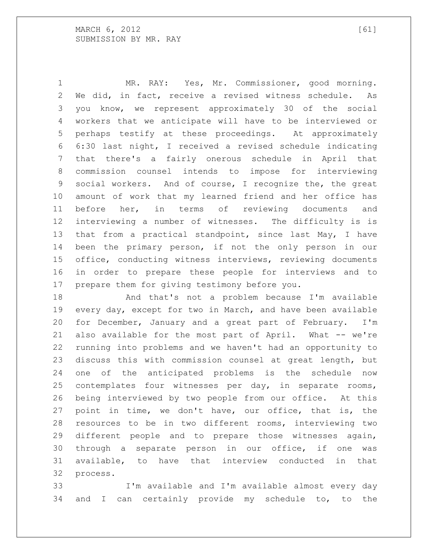MR. RAY: Yes, Mr. Commissioner, good morning. We did, in fact, receive a revised witness schedule. As you know, we represent approximately 30 of the social workers that we anticipate will have to be interviewed or perhaps testify at these proceedings. At approximately 6:30 last night, I received a revised schedule indicating that there's a fairly onerous schedule in April that commission counsel intends to impose for interviewing social workers. And of course, I recognize the, the great amount of work that my learned friend and her office has before her, in terms of reviewing documents and interviewing a number of witnesses. The difficulty is is that from a practical standpoint, since last May, I have been the primary person, if not the only person in our office, conducting witness interviews, reviewing documents in order to prepare these people for interviews and to prepare them for giving testimony before you.

 And that's not a problem because I'm available every day, except for two in March, and have been available for December, January and a great part of February. I'm 21 also available for the most part of April. What -- we're running into problems and we haven't had an opportunity to discuss this with commission counsel at great length, but one of the anticipated problems is the schedule now contemplates four witnesses per day, in separate rooms, being interviewed by two people from our office. At this point in time, we don't have, our office, that is, the resources to be in two different rooms, interviewing two different people and to prepare those witnesses again, through a separate person in our office, if one was available, to have that interview conducted in that process.

 I'm available and I'm available almost every day and I can certainly provide my schedule to, to the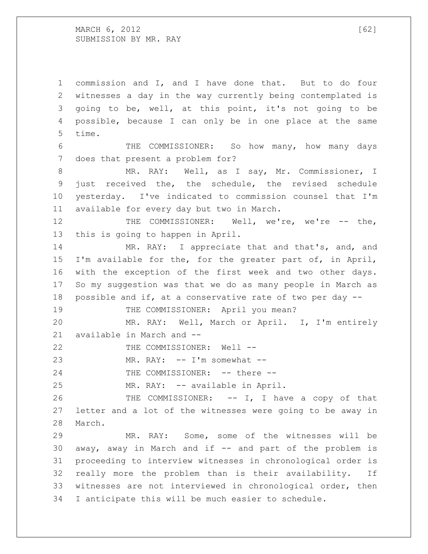MARCH , 2012 [62] SUBMISSION BY MR. RAY

 commission and I, and I have done that. But to do four witnesses a day in the way currently being contemplated is going to be, well, at this point, it's not going to be possible, because I can only be in one place at the same time. THE COMMISSIONER: So how many, how many days does that present a problem for? MR. RAY: Well, as I say, Mr. Commissioner, I just received the, the schedule, the revised schedule yesterday. I've indicated to commission counsel that I'm available for every day but two in March. 12 THE COMMISSIONER: Well, we're, we're -- the, this is going to happen in April. MR. RAY: I appreciate that and that's, and, and I'm available for the, for the greater part of, in April, with the exception of the first week and two other days. So my suggestion was that we do as many people in March as possible and if, at a conservative rate of two per day -- 19 THE COMMISSIONER: April you mean? MR. RAY: Well, March or April. I, I'm entirely available in March and -- 22 THE COMMISSIONER: Well --23 MR. RAY:  $-$  I'm somewhat  $-$ 24 THE COMMISSIONER: -- there -- MR. RAY: -- available in April. THE COMMISSIONER: -- I, I have a copy of that letter and a lot of the witnesses were going to be away in March. MR. RAY: Some, some of the witnesses will be away, away in March and if -- and part of the problem is proceeding to interview witnesses in chronological order is really more the problem than is their availability. If witnesses are not interviewed in chronological order, then I anticipate this will be much easier to schedule.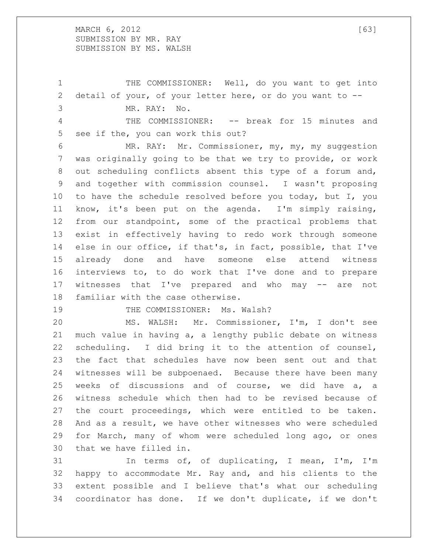MARCH , 2012 [63] SUBMISSION BY MR. RAY SUBMISSION BY MS. WALSH

 THE COMMISSIONER: Well, do you want to get into detail of your, of your letter here, or do you want to -- MR. RAY: No. THE COMMISSIONER: -- break for 15 minutes and see if the, you can work this out? MR. RAY: Mr. Commissioner, my, my, my suggestion was originally going to be that we try to provide, or work out scheduling conflicts absent this type of a forum and, and together with commission counsel. I wasn't proposing to have the schedule resolved before you today, but I, you know, it's been put on the agenda. I'm simply raising, from our standpoint, some of the practical problems that exist in effectively having to redo work through someone else in our office, if that's, in fact, possible, that I've already done and have someone else attend witness interviews to, to do work that I've done and to prepare witnesses that I've prepared and who may -- are not familiar with the case otherwise.

19 THE COMMISSIONER: Ms. Walsh?

 MS. WALSH: Mr. Commissioner, I'm, I don't see much value in having a, a lengthy public debate on witness scheduling. I did bring it to the attention of counsel, the fact that schedules have now been sent out and that witnesses will be subpoenaed. Because there have been many weeks of discussions and of course, we did have a, a witness schedule which then had to be revised because of the court proceedings, which were entitled to be taken. And as a result, we have other witnesses who were scheduled for March, many of whom were scheduled long ago, or ones that we have filled in.

 In terms of, of duplicating, I mean, I'm, I'm happy to accommodate Mr. Ray and, and his clients to the extent possible and I believe that's what our scheduling coordinator has done. If we don't duplicate, if we don't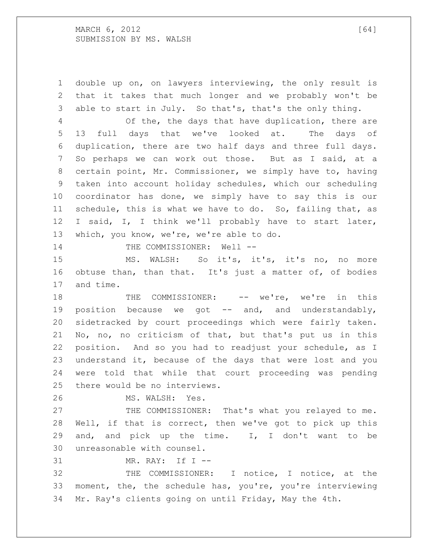double up on, on lawyers interviewing, the only result is that it takes that much longer and we probably won't be able to start in July. So that's, that's the only thing.

 Of the, the days that have duplication, there are 13 full days that we've looked at. The days of duplication, there are two half days and three full days. So perhaps we can work out those. But as I said, at a certain point, Mr. Commissioner, we simply have to, having taken into account holiday schedules, which our scheduling coordinator has done, we simply have to say this is our schedule, this is what we have to do. So, failing that, as I said, I, I think we'll probably have to start later, which, you know, we're, we're able to do.

14 THE COMMISSIONER: Well --

 MS. WALSH: So it's, it's, it's no, no more obtuse than, than that. It's just a matter of, of bodies and time.

18 THE COMMISSIONER: -- we're, we're in this 19 position because we got -- and, and understandably, sidetracked by court proceedings which were fairly taken. No, no, no criticism of that, but that's put us in this position. And so you had to readjust your schedule, as I understand it, because of the days that were lost and you were told that while that court proceeding was pending there would be no interviews.

MS. WALSH: Yes.

 THE COMMISSIONER: That's what you relayed to me. Well, if that is correct, then we've got to pick up this and, and pick up the time. I, I don't want to be unreasonable with counsel.

MR. RAY: If I --

 THE COMMISSIONER: I notice, I notice, at the moment, the, the schedule has, you're, you're interviewing Mr. Ray's clients going on until Friday, May the 4th.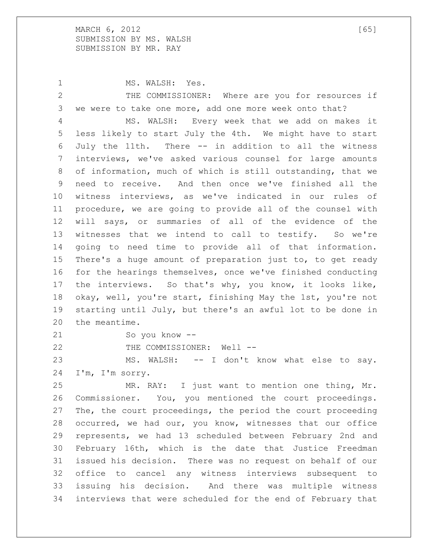MARCH , 2012 [65] SUBMISSION BY MS. WALSH SUBMISSION BY MR. RAY

1 MS. WALSH: Yes. THE COMMISSIONER: Where are you for resources if we were to take one more, add one more week onto that? MS. WALSH: Every week that we add on makes it less likely to start July the 4th. We might have to start July the 11th. There -- in addition to all the witness interviews, we've asked various counsel for large amounts of information, much of which is still outstanding, that we need to receive. And then once we've finished all the witness interviews, as we've indicated in our rules of procedure, we are going to provide all of the counsel with will says, or summaries of all of the evidence of the witnesses that we intend to call to testify. So we're going to need time to provide all of that information. There's a huge amount of preparation just to, to get ready for the hearings themselves, once we've finished conducting the interviews. So that's why, you know, it looks like, okay, well, you're start, finishing May the 1st, you're not starting until July, but there's an awful lot to be done in the meantime. So you know -- 22 THE COMMISSIONER: Well --MS. WALSH: -- I don't know what else to say.

I'm, I'm sorry.

 MR. RAY: I just want to mention one thing, Mr. Commissioner. You, you mentioned the court proceedings. The, the court proceedings, the period the court proceeding occurred, we had our, you know, witnesses that our office represents, we had 13 scheduled between February 2nd and February 16th, which is the date that Justice Freedman issued his decision. There was no request on behalf of our office to cancel any witness interviews subsequent to issuing his decision. And there was multiple witness interviews that were scheduled for the end of February that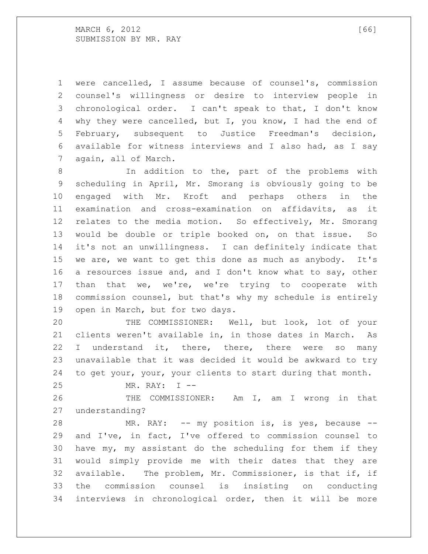MARCH 6, 2012 [66] SUBMISSION BY MR. RAY

 were cancelled, I assume because of counsel's, commission counsel's willingness or desire to interview people in chronological order. I can't speak to that, I don't know why they were cancelled, but I, you know, I had the end of February, subsequent to Justice Freedman's decision, available for witness interviews and I also had, as I say again, all of March.

 In addition to the, part of the problems with scheduling in April, Mr. Smorang is obviously going to be engaged with Mr. Kroft and perhaps others in the examination and cross-examination on affidavits, as it relates to the media motion. So effectively, Mr. Smorang would be double or triple booked on, on that issue. So it's not an unwillingness. I can definitely indicate that we are, we want to get this done as much as anybody. It's a resources issue and, and I don't know what to say, other 17 than that we, we're, we're trying to cooperate with commission counsel, but that's why my schedule is entirely open in March, but for two days.

 THE COMMISSIONER: Well, but look, lot of your clients weren't available in, in those dates in March. As I understand it, there, there, there were so many unavailable that it was decided it would be awkward to try to get your, your, your clients to start during that month.

```
25 MR. RAY: I --
```
 THE COMMISSIONER: Am I, am I wrong in that understanding?

 MR. RAY: -- my position is, is yes, because -- and I've, in fact, I've offered to commission counsel to have my, my assistant do the scheduling for them if they would simply provide me with their dates that they are available. The problem, Mr. Commissioner, is that if, if the commission counsel is insisting on conducting interviews in chronological order, then it will be more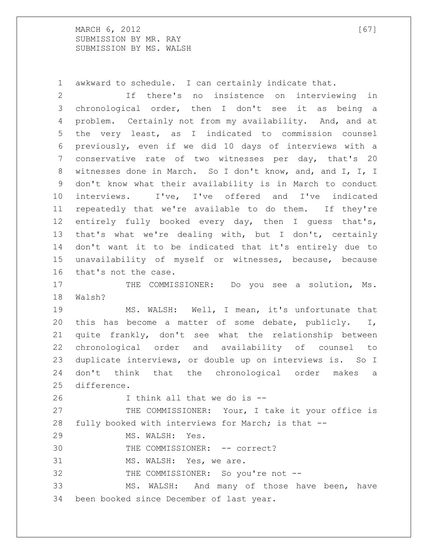MARCH , 2012 [67] SUBMISSION BY MR. RAY SUBMISSION BY MS. WALSH

awkward to schedule. I can certainly indicate that.

 If there's no insistence on interviewing in chronological order, then I don't see it as being a problem. Certainly not from my availability. And, and at the very least, as I indicated to commission counsel previously, even if we did 10 days of interviews with a conservative rate of two witnesses per day, that's 20 witnesses done in March. So I don't know, and, and I, I, I don't know what their availability is in March to conduct interviews. I've, I've offered and I've indicated repeatedly that we're available to do them. If they're entirely fully booked every day, then I guess that's, that's what we're dealing with, but I don't, certainly don't want it to be indicated that it's entirely due to unavailability of myself or witnesses, because, because that's not the case.

17 THE COMMISSIONER: Do you see a solution, Ms. Walsh?

 MS. WALSH: Well, I mean, it's unfortunate that this has become a matter of some debate, publicly. I, quite frankly, don't see what the relationship between chronological order and availability of counsel to duplicate interviews, or double up on interviews is. So I don't think that the chronological order makes a difference.

I think all that we do is --

 THE COMMISSIONER: Your, I take it your office is fully booked with interviews for March; is that --

MS. WALSH: Yes.

30 THE COMMISSIONER: -- correct?

MS. WALSH: Yes, we are.

32 THE COMMISSIONER: So you're not --

 MS. WALSH: And many of those have been, have been booked since December of last year.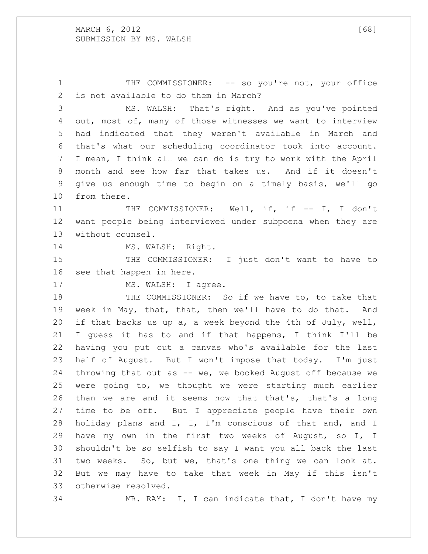1 THE COMMISSIONER: -- so you're not, your office is not available to do them in March? MS. WALSH: That's right. And as you've pointed out, most of, many of those witnesses we want to interview had indicated that they weren't available in March and that's what our scheduling coordinator took into account. I mean, I think all we can do is try to work with the April month and see how far that takes us. And if it doesn't give us enough time to begin on a timely basis, we'll go from there. 11 THE COMMISSIONER: Well, if, if -- I, I don't want people being interviewed under subpoena when they are without counsel. 14 MS. WALSH: Right. THE COMMISSIONER: I just don't want to have to see that happen in here. 17 MS. WALSH: I agree. THE COMMISSIONER: So if we have to, to take that week in May, that, that, then we'll have to do that. And if that backs us up a, a week beyond the 4th of July, well, I guess it has to and if that happens, I think I'll be having you put out a canvas who's available for the last half of August. But I won't impose that today. I'm just throwing that out as -- we, we booked August off because we were going to, we thought we were starting much earlier than we are and it seems now that that's, that's a long time to be off. But I appreciate people have their own holiday plans and I, I, I'm conscious of that and, and I have my own in the first two weeks of August, so I, I shouldn't be so selfish to say I want you all back the last two weeks. So, but we, that's one thing we can look at. But we may have to take that week in May if this isn't otherwise resolved. MR. RAY: I, I can indicate that, I don't have my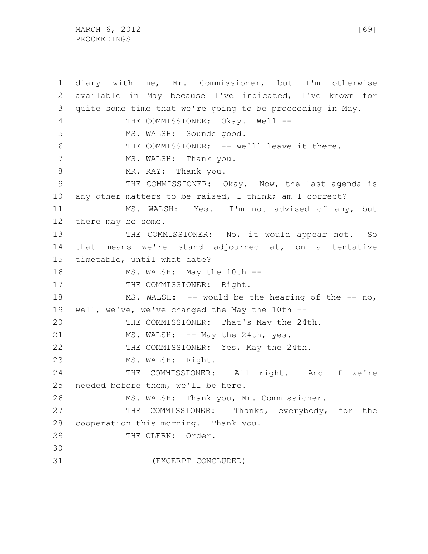MARCH 6, 2012 [69] PROCEEDINGS

 diary with me, Mr. Commissioner, but I'm otherwise available in May because I've indicated, I've known for quite some time that we're going to be proceeding in May. 4 THE COMMISSIONER: Okay. Well -- MS. WALSH: Sounds good. THE COMMISSIONER: -- we'll leave it there. 7 MS. WALSH: Thank you. 8 MR. RAY: Thank you. THE COMMISSIONER: Okay. Now, the last agenda is any other matters to be raised, I think; am I correct? MS. WALSH: Yes. I'm not advised of any, but there may be some. 13 THE COMMISSIONER: No, it would appear not. So that means we're stand adjourned at, on a tentative timetable, until what date? 16 MS. WALSH: May the 10th --17 THE COMMISSIONER: Right. MS. WALSH: -- would be the hearing of the -- no, well, we've, we've changed the May the 10th -- THE COMMISSIONER: That's May the 24th. 21 MS. WALSH: -- May the 24th, yes. THE COMMISSIONER: Yes, May the 24th. MS. WALSH: Right. 24 THE COMMISSIONER: All right. And if we're needed before them, we'll be here. MS. WALSH: Thank you, Mr. Commissioner. THE COMMISSIONER: Thanks, everybody, for the cooperation this morning. Thank you. 29 THE CLERK: Order. (EXCERPT CONCLUDED)